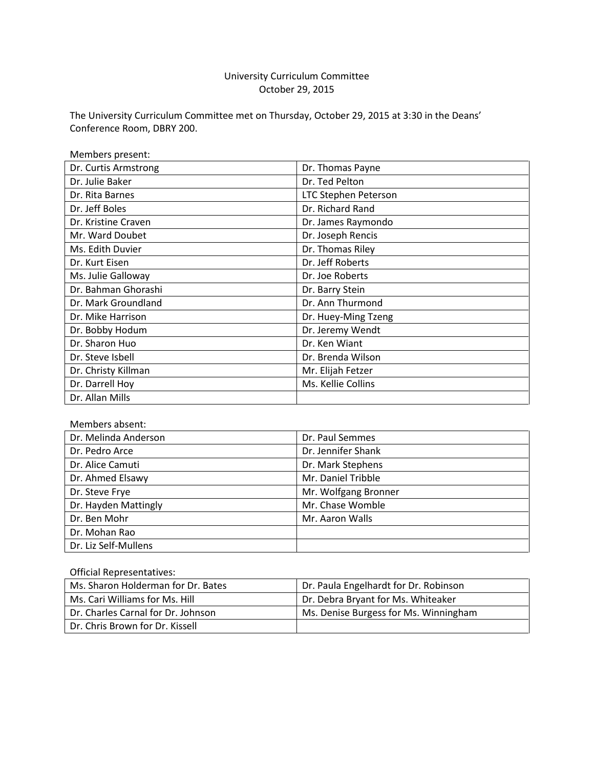# University Curriculum Committee October 29, 2015

The University Curriculum Committee met on Thursday, October 29, 2015 at 3:30 in the Deans' Conference Room, DBRY 200.

| Members present:     |                      |
|----------------------|----------------------|
| Dr. Curtis Armstrong | Dr. Thomas Payne     |
| Dr. Julie Baker      | Dr. Ted Pelton       |
| Dr. Rita Barnes      | LTC Stephen Peterson |
| Dr. Jeff Boles       | Dr. Richard Rand     |
| Dr. Kristine Craven  | Dr. James Raymondo   |
| Mr. Ward Doubet      | Dr. Joseph Rencis    |
| Ms. Edith Duvier     | Dr. Thomas Riley     |
| Dr. Kurt Eisen       | Dr. Jeff Roberts     |
| Ms. Julie Galloway   | Dr. Joe Roberts      |
| Dr. Bahman Ghorashi  | Dr. Barry Stein      |
| Dr. Mark Groundland  | Dr. Ann Thurmond     |
| Dr. Mike Harrison    | Dr. Huey-Ming Tzeng  |
| Dr. Bobby Hodum      | Dr. Jeremy Wendt     |
| Dr. Sharon Huo       | Dr. Ken Wiant        |
| Dr. Steve Isbell     | Dr. Brenda Wilson    |
| Dr. Christy Killman  | Mr. Elijah Fetzer    |
| Dr. Darrell Hoy      | Ms. Kellie Collins   |
| Dr. Allan Mills      |                      |

#### Members absent:

| Dr. Melinda Anderson | Dr. Paul Semmes      |
|----------------------|----------------------|
| Dr. Pedro Arce       | Dr. Jennifer Shank   |
| Dr. Alice Camuti     | Dr. Mark Stephens    |
| Dr. Ahmed Elsawy     | Mr. Daniel Tribble   |
| Dr. Steve Frye       | Mr. Wolfgang Bronner |
| Dr. Hayden Mattingly | Mr. Chase Womble     |
| Dr. Ben Mohr         | Mr. Aaron Walls      |
| Dr. Mohan Rao        |                      |
| Dr. Liz Self-Mullens |                      |

#### Official Representatives:

| Ms. Sharon Holderman for Dr. Bates | Dr. Paula Engelhardt for Dr. Robinson |
|------------------------------------|---------------------------------------|
| Ms. Cari Williams for Ms. Hill     | Dr. Debra Bryant for Ms. Whiteaker    |
| Dr. Charles Carnal for Dr. Johnson | Ms. Denise Burgess for Ms. Winningham |
| Dr. Chris Brown for Dr. Kissell    |                                       |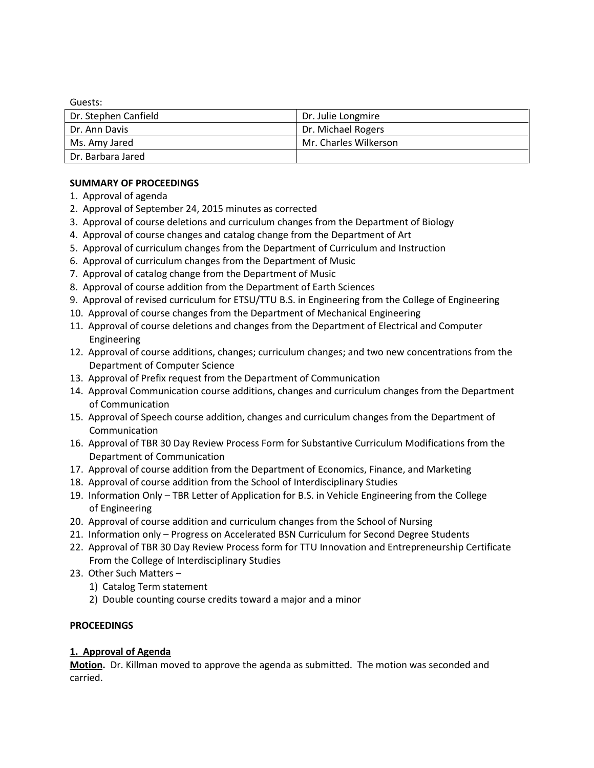Guests:

| Dr. Stephen Canfield | Dr. Julie Longmire    |
|----------------------|-----------------------|
| l Dr. Ann Davis      | Dr. Michael Rogers    |
| Ms. Amy Jared        | Mr. Charles Wilkerson |
| l Dr. Barbara Jared  |                       |

#### **SUMMARY OF PROCEEDINGS**

- 1. Approval of agenda
- 2. Approval of September 24, 2015 minutes as corrected
- 3. Approval of course deletions and curriculum changes from the Department of Biology
- 4. Approval of course changes and catalog change from the Department of Art
- 5. Approval of curriculum changes from the Department of Curriculum and Instruction
- 6. Approval of curriculum changes from the Department of Music
- 7. Approval of catalog change from the Department of Music
- 8. Approval of course addition from the Department of Earth Sciences
- 9. Approval of revised curriculum for ETSU/TTU B.S. in Engineering from the College of Engineering
- 10. Approval of course changes from the Department of Mechanical Engineering
- 11. Approval of course deletions and changes from the Department of Electrical and Computer Engineering
- 12. Approval of course additions, changes; curriculum changes; and two new concentrations from the Department of Computer Science
- 13. Approval of Prefix request from the Department of Communication
- 14. Approval Communication course additions, changes and curriculum changes from the Department of Communication
- 15. Approval of Speech course addition, changes and curriculum changes from the Department of Communication
- 16. Approval of TBR 30 Day Review Process Form for Substantive Curriculum Modifications from the Department of Communication
- 17. Approval of course addition from the Department of Economics, Finance, and Marketing
- 18. Approval of course addition from the School of Interdisciplinary Studies
- 19. Information Only TBR Letter of Application for B.S. in Vehicle Engineering from the College of Engineering
- 20. Approval of course addition and curriculum changes from the School of Nursing
- 21. Information only Progress on Accelerated BSN Curriculum for Second Degree Students
- 22. Approval of TBR 30 Day Review Process form for TTU Innovation and Entrepreneurship Certificate From the College of Interdisciplinary Studies
- 23. Other Such Matters
	- 1) Catalog Term statement
	- 2) Double counting course credits toward a major and a minor

#### **PROCEEDINGS**

#### **1. Approval of Agenda**

**Motion.** Dr. Killman moved to approve the agenda as submitted. The motion was seconded and carried.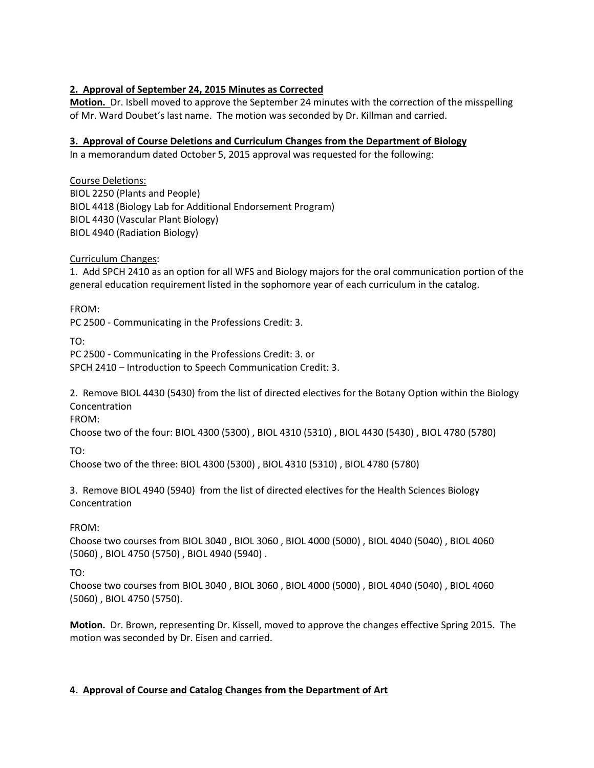#### **2. Approval of September 24, 2015 Minutes as Corrected**

**Motion.** Dr. Isbell moved to approve the September 24 minutes with the correction of the misspelling of Mr. Ward Doubet's last name. The motion was seconded by Dr. Killman and carried.

#### **3. Approval of Course Deletions and Curriculum Changes from the Department of Biology**

In a memorandum dated October 5, 2015 approval was requested for the following:

Course Deletions: BIOL 2250 (Plants and People) BIOL 4418 (Biology Lab for Additional Endorsement Program) BIOL 4430 (Vascular Plant Biology) BIOL 4940 (Radiation Biology)

Curriculum Changes:

1. Add SPCH 2410 as an option for all WFS and Biology majors for the oral communication portion of the general education requirement listed in the sophomore year of each curriculum in the catalog.

FROM:

PC 2500 - [Communicating in the Professions Credit: 3.](http://catalog.tntech.edu/preview_program.php?catoid=16&poid=1714&returnto=2881)

TO:

PC 2500 - [Communicating in the Professions Credit: 3.](http://catalog.tntech.edu/preview_program.php?catoid=16&poid=1714&returnto=2881) or SPCH 2410 – [Introduction to Speech Communication C](http://catalog.tntech.edu/preview_program.php?catoid=16&poid=1714&returnto=2881)redit: 3.

2. Remove BIOL 4430 (5430) from the list of directed electives for the Botany Option within the Biology Concentration

FROM:

Choose two of the four[: BIOL 4300 \(5300\)](http://catalog.tntech.edu/preview_program.php?catoid=19&poid=2037&returnto=3409#tt4997) , [BIOL 4310 \(5310\)](http://catalog.tntech.edu/preview_program.php?catoid=19&poid=2037&returnto=3409#tt7169) , [BIOL 4430 \(5430\)](http://catalog.tntech.edu/preview_program.php?catoid=19&poid=2037&returnto=3409#tt6319) [, BIOL 4780 \(5780\)](http://catalog.tntech.edu/preview_program.php?catoid=19&poid=2037&returnto=3409#tt9051)

TO:

[Ch](http://catalog.tntech.edu/preview_program.php?catoid=16&poid=1714&returnto=2881)oose two of the three: [BIOL 4300 \(5300\)](http://catalog.tntech.edu/preview_program.php?catoid=19&poid=2037&returnto=3409#tt4997) [, BIOL 4310 \(5310\)](http://catalog.tntech.edu/preview_program.php?catoid=19&poid=2037&returnto=3409#tt7169) , [BIOL 4780 \(5780\)](http://catalog.tntech.edu/preview_program.php?catoid=19&poid=2037&returnto=3409#tt9051)

3. Remove BIOL 4940 (5940) from the list of directed electives for the Health Sciences Biology Concentration

#### FROM:

Choose two courses from [BIOL 3040](http://catalog.tntech.edu/preview_program.php?catoid=19&poid=2040&returnto=3409#tt5) [, BIOL 3060](http://catalog.tntech.edu/preview_program.php?catoid=19&poid=2040&returnto=3409#tt3398) [, BIOL 4000 \(5000\)](http://catalog.tntech.edu/preview_program.php?catoid=19&poid=2040&returnto=3409#tt7695) , [BIOL 4040 \(5040\)](http://catalog.tntech.edu/preview_program.php?catoid=19&poid=2040&returnto=3409#tt2413) , [BIOL 4060](http://catalog.tntech.edu/preview_program.php?catoid=19&poid=2040&returnto=3409#tt1053)  [\(5060\)](http://catalog.tntech.edu/preview_program.php?catoid=19&poid=2040&returnto=3409#tt1053) [, BIOL 4750 \(5750\)](http://catalog.tntech.edu/preview_program.php?catoid=19&poid=2040&returnto=3409#tt9051) , [BIOL 4940 \(5940\)](http://catalog.tntech.edu/preview_program.php?catoid=19&poid=2040&returnto=3409#tt1841) .

TO:

[Ch](http://catalog.tntech.edu/preview_program.php?catoid=16&poid=1714&returnto=2881)oose two courses from [BIOL 3040](http://catalog.tntech.edu/preview_program.php?catoid=19&poid=2040&returnto=3409#tt5) [, BIOL 3060](http://catalog.tntech.edu/preview_program.php?catoid=19&poid=2040&returnto=3409#tt3398) [, BIOL 4000 \(5000\)](http://catalog.tntech.edu/preview_program.php?catoid=19&poid=2040&returnto=3409#tt7695) , [BIOL 4040 \(5040\)](http://catalog.tntech.edu/preview_program.php?catoid=19&poid=2040&returnto=3409#tt2413) , [BIOL 4060](http://catalog.tntech.edu/preview_program.php?catoid=19&poid=2040&returnto=3409#tt1053)  [\(5060\)](http://catalog.tntech.edu/preview_program.php?catoid=19&poid=2040&returnto=3409#tt1053) [, BIOL 4750 \(5750\).](http://catalog.tntech.edu/preview_program.php?catoid=19&poid=2040&returnto=3409#tt9051)

**Motion.** Dr. Brown, representing Dr. Kissell, moved to approve the changes effective Spring 2015. The motion was seconded by Dr. Eisen and carried.

### **4. Approval of Course and Catalog Changes from the Department of Art**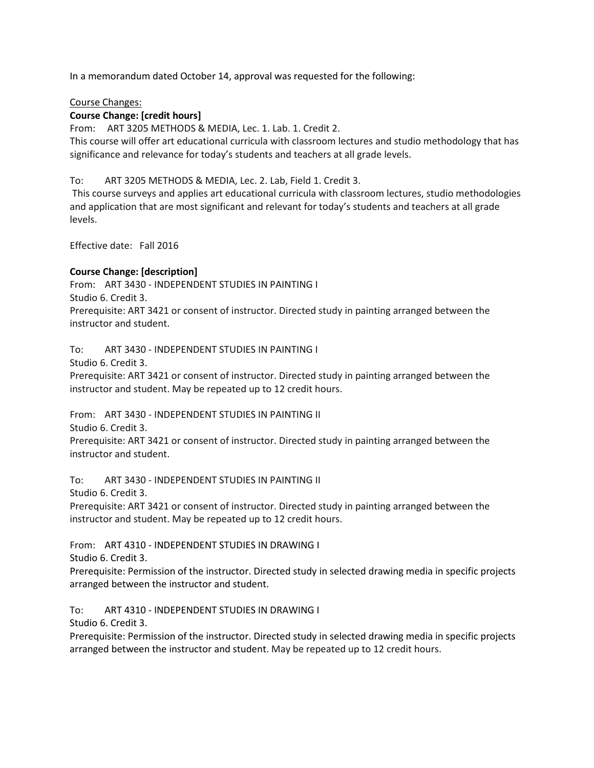In a memorandum dated October 14, approval was requested for the following:

#### Course Changes:

#### **Course Change: [credit hours]**

From: ART 3205 METHODS & MEDIA, Lec. 1. Lab. 1. Credit 2.

This course will offer art educational curricula with classroom lectures and studio methodology that has significance and relevance for today's students and teachers at all grade levels.

To: ART 3205 METHODS & MEDIA, Lec. 2. Lab, Field 1. Credit 3.

This course surveys and applies art educational curricula with classroom lectures, studio methodologies and application that are most significant and relevant for today's students and teachers at all grade levels.

Effective date: Fall 2016

#### **Course Change: [description]**

From: ART 3430 - INDEPENDENT STUDIES IN PAINTING I Studio 6. Credit 3. Prerequisite: ART 3421 or consent of instructor. Directed study in painting arranged between the instructor and student.

To: ART 3430 - INDEPENDENT STUDIES IN PAINTING I

Studio 6. Credit 3.

Prerequisite: ART 3421 or consent of instructor. Directed study in painting arranged between the instructor and student. May be repeated up to 12 credit hours.

From: ART 3430 - INDEPENDENT STUDIES IN PAINTING II

Studio 6. Credit 3.

Prerequisite: ART 3421 or consent of instructor. Directed study in painting arranged between the instructor and student.

To: ART 3430 - INDEPENDENT STUDIES IN PAINTING II

Studio 6. Credit 3.

Prerequisite: ART 3421 or consent of instructor. Directed study in painting arranged between the instructor and student. May be repeated up to 12 credit hours.

From: ART 4310 - INDEPENDENT STUDIES IN DRAWING I

Studio 6. Credit 3.

Prerequisite: Permission of the instructor. Directed study in selected drawing media in specific projects arranged between the instructor and student.

To: ART 4310 - INDEPENDENT STUDIES IN DRAWING I

Studio 6. Credit 3.

Prerequisite: Permission of the instructor. Directed study in selected drawing media in specific projects arranged between the instructor and student. May be repeated up to 12 credit hours.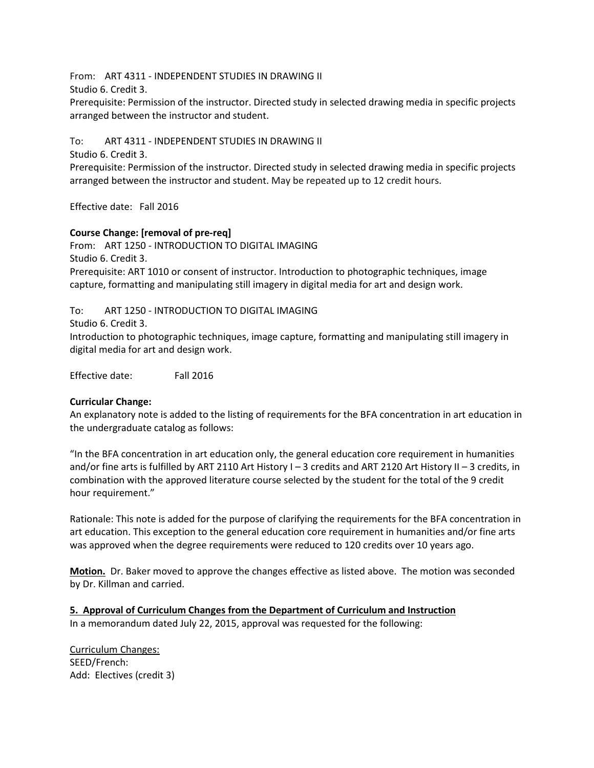From: ART 4311 - INDEPENDENT STUDIES IN DRAWING II

Studio 6. Credit 3.

Prerequisite: Permission of the instructor. Directed study in selected drawing media in specific projects arranged between the instructor and student.

To: ART 4311 - INDEPENDENT STUDIES IN DRAWING II

Studio 6. Credit 3.

Prerequisite: Permission of the instructor. Directed study in selected drawing media in specific projects arranged between the instructor and student. May be repeated up to 12 credit hours.

Effective date: Fall 2016

#### **Course Change: [removal of pre-req]**

From: ART 1250 - INTRODUCTION TO DIGITAL IMAGING Studio 6. Credit 3. Prerequisite: ART 1010 or consent of instructor. Introduction to photographic techniques, image capture, formatting and manipulating still imagery in digital media for art and design work.

To: ART 1250 - INTRODUCTION TO DIGITAL IMAGING

Studio 6. Credit 3.

Introduction to photographic techniques, image capture, formatting and manipulating still imagery in digital media for art and design work.

Effective date: Fall 2016

### **Curricular Change:**

An explanatory note is added to the listing of requirements for the BFA concentration in art education in the undergraduate catalog as follows:

"In the BFA concentration in art education only, the general education core requirement in humanities and/or fine arts is fulfilled by ART 2110 Art History I – 3 credits and ART 2120 Art History II – 3 credits, in combination with the approved literature course selected by the student for the total of the 9 credit hour requirement."

Rationale: This note is added for the purpose of clarifying the requirements for the BFA concentration in art education. This exception to the general education core requirement in humanities and/or fine arts was approved when the degree requirements were reduced to 120 credits over 10 years ago.

**Motion.** Dr. Baker moved to approve the changes effective as listed above. The motion was seconded by Dr. Killman and carried.

**5. Approval of Curriculum Changes from the Department of Curriculum and Instruction** In a memorandum dated July 22, 2015, approval was requested for the following:

Curriculum Changes: SEED/French: Add: Electives (credit 3)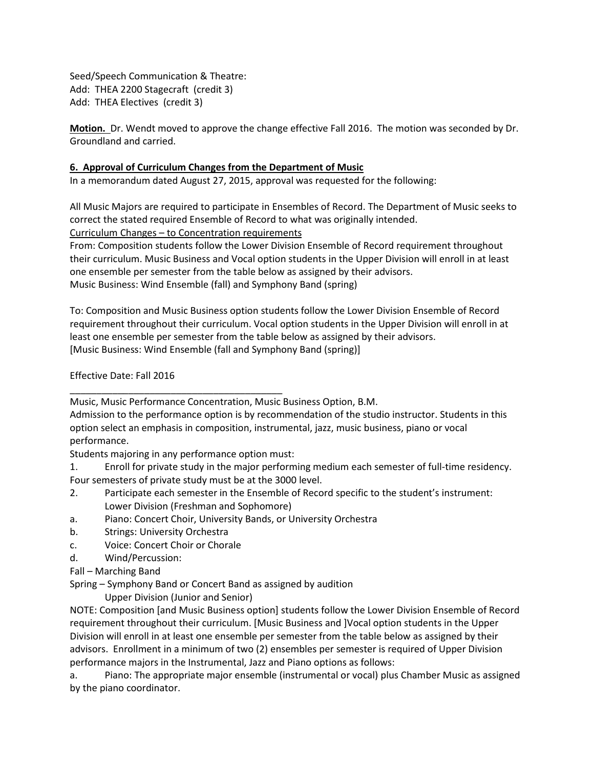Seed/Speech Communication & Theatre: Add: THEA 2200 Stagecraft (credit 3) Add: THEA Electives (credit 3)

**Motion.** Dr. Wendt moved to approve the change effective Fall 2016. The motion was seconded by Dr. Groundland and carried.

#### **6. Approval of Curriculum Changes from the Department of Music**

In a memorandum dated August 27, 2015, approval was requested for the following:

All Music Majors are required to participate in Ensembles of Record. The Department of Music seeks to correct the stated required Ensemble of Record to what was originally intended.

Curriculum Changes – to Concentration requirements

From: Composition students follow the Lower Division Ensemble of Record requirement throughout their curriculum. Music Business and Vocal option students in the Upper Division will enroll in at least one ensemble per semester from the table below as assigned by their advisors. Music Business: Wind Ensemble (fall) and Symphony Band (spring)

To: Composition and Music Business option students follow the Lower Division Ensemble of Record requirement throughout their curriculum. Vocal option students in the Upper Division will enroll in at least one ensemble per semester from the table below as assigned by their advisors. [Music Business: Wind Ensemble (fall and Symphony Band (spring)]

Effective Date: Fall 2016

Students majoring in any performance option must:

\_\_\_\_\_\_\_\_\_\_\_\_\_\_\_\_\_\_\_\_\_\_\_\_\_\_\_\_\_\_\_\_\_\_\_\_\_\_\_\_

1. Enroll for private study in the major performing medium each semester of full-time residency. Four semesters of private study must be at the 3000 level.

- 2. Participate each semester in the Ensemble of Record specific to the student's instrument: Lower Division (Freshman and Sophomore)
- a. Piano: Concert Choir, University Bands, or University Orchestra
- b. Strings: University Orchestra
- c. Voice: Concert Choir or Chorale
- d. Wind/Percussion:
- Fall Marching Band

Spring – Symphony Band or Concert Band as assigned by audition

Upper Division (Junior and Senior)

NOTE: Composition [and Music Business option] students follow the Lower Division Ensemble of Record requirement throughout their curriculum. [Music Business and ]Vocal option students in the Upper Division will enroll in at least one ensemble per semester from the table below as assigned by their advisors. Enrollment in a minimum of two (2) ensembles per semester is required of Upper Division performance majors in the Instrumental, Jazz and Piano options as follows:

a. Piano: The appropriate major ensemble (instrumental or vocal) plus Chamber Music as assigned by the piano coordinator.

Music, Music Performance Concentration, Music Business Option, B.M.

Admission to the performance option is by recommendation of the studio instructor. Students in this option select an emphasis in composition, instrumental, jazz, music business, piano or vocal performance.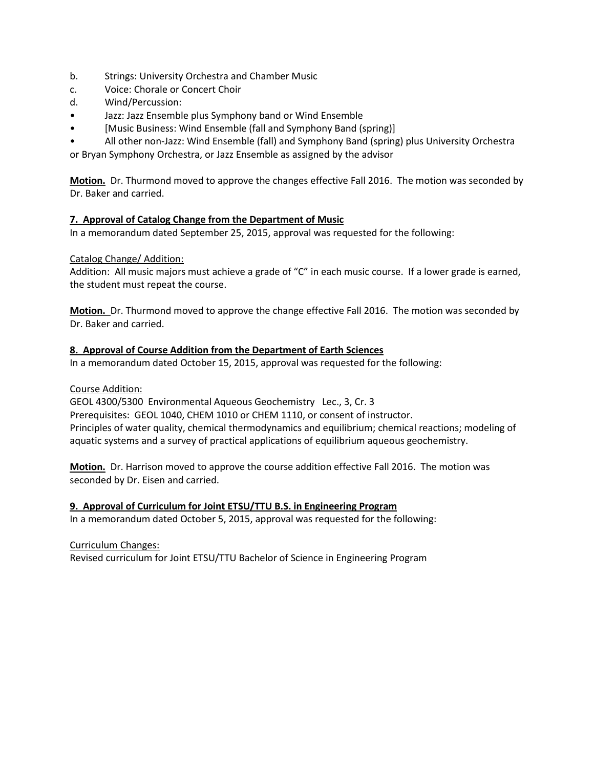- b. Strings: University Orchestra and Chamber Music
- c. Voice: Chorale or Concert Choir
- d. Wind/Percussion:
- Jazz: Jazz Ensemble plus Symphony band or Wind Ensemble
- [Music Business: Wind Ensemble (fall and Symphony Band (spring)]
- All other non-Jazz: Wind Ensemble (fall) and Symphony Band (spring) plus University Orchestra

or Bryan Symphony Orchestra, or Jazz Ensemble as assigned by the advisor

**Motion.** Dr. Thurmond moved to approve the changes effective Fall 2016. The motion was seconded by Dr. Baker and carried.

#### **7. Approval of Catalog Change from the Department of Music**

In a memorandum dated September 25, 2015, approval was requested for the following:

#### Catalog Change/ Addition:

Addition: All music majors must achieve a grade of "C" in each music course. If a lower grade is earned, the student must repeat the course.

**Motion.** Dr. Thurmond moved to approve the change effective Fall 2016. The motion was seconded by Dr. Baker and carried.

#### **8. Approval of Course Addition from the Department of Earth Sciences**

In a memorandum dated October 15, 2015, approval was requested for the following:

Course Addition:

GEOL 4300/5300 Environmental Aqueous Geochemistry Lec., 3, Cr. 3 Prerequisites: GEOL 1040, CHEM 1010 or CHEM 1110, or consent of instructor. Principles of water quality, chemical thermodynamics and equilibrium; chemical reactions; modeling of aquatic systems and a survey of practical applications of equilibrium aqueous geochemistry.

**Motion.** Dr. Harrison moved to approve the course addition effective Fall 2016. The motion was seconded by Dr. Eisen and carried.

**9. Approval of Curriculum for Joint ETSU/TTU B.S. in Engineering Program** In a memorandum dated October 5, 2015, approval was requested for the following:

#### Curriculum Changes:

Revised curriculum for Joint ETSU/TTU Bachelor of Science in Engineering Program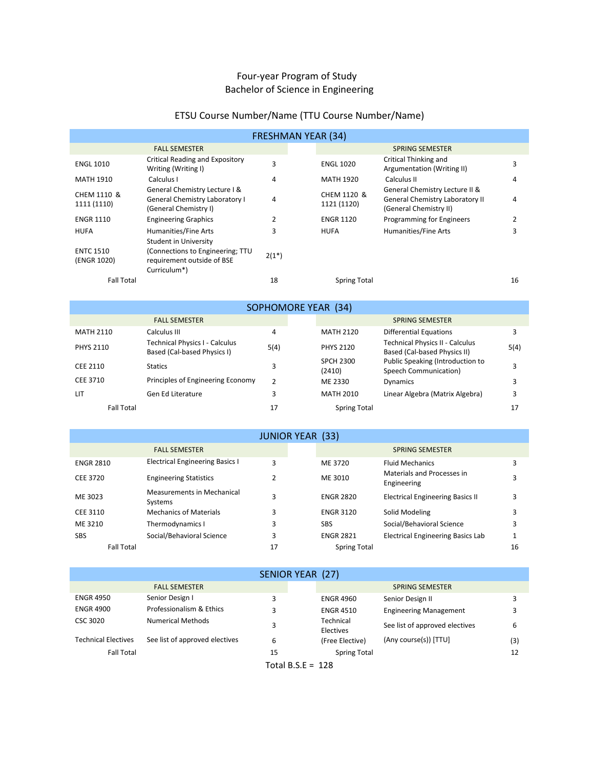# Four-year Program of Study Bachelor of Science in Engineering

# ETSU Course Number/Name (TTU Course Number/Name)

|                                 |                                                                                                                | <b>FRESHMAN YEAR (34)</b> |                            |                                                                                             |    |
|---------------------------------|----------------------------------------------------------------------------------------------------------------|---------------------------|----------------------------|---------------------------------------------------------------------------------------------|----|
|                                 | <b>FALL SEMESTER</b>                                                                                           |                           |                            | <b>SPRING SEMESTER</b>                                                                      |    |
| <b>ENGL 1010</b>                | Critical Reading and Expository<br>Writing (Writing I)                                                         | 3                         | <b>ENGL 1020</b>           | Critical Thinking and<br>Argumentation (Writing II)                                         | 3  |
| <b>MATH 1910</b>                | Calculus I                                                                                                     | 4                         | MATH 1920                  | Calculus II                                                                                 | 4  |
| CHEM 1110 &<br>1111 (1110)      | General Chemistry Lecture I &<br><b>General Chemistry Laboratory I</b><br>(General Chemistry I)                | 4                         | CHEM 1120 &<br>1121 (1120) | General Chemistry Lecture II &<br>General Chemistry Laboratory II<br>(General Chemistry II) | 4  |
| <b>ENGR 1110</b>                | <b>Engineering Graphics</b>                                                                                    | 2                         | <b>ENGR 1120</b>           | Programming for Engineers                                                                   |    |
| <b>HUFA</b>                     | Humanities/Fine Arts                                                                                           | 3                         | <b>HUFA</b>                | Humanities/Fine Arts                                                                        | 3  |
| <b>ENTC 1510</b><br>(ENGR 1020) | <b>Student in University</b><br>(Connections to Engineering; TTU<br>requirement outside of BSE<br>Curriculum*) | $2(1^*)$                  |                            |                                                                                             |    |
| <b>Fall Total</b>               |                                                                                                                | 18                        | <b>Spring Total</b>        |                                                                                             | 16 |

|                   |                                                               |      | <b>SOPHOMORE YEAR (34)</b> |                                                                 |      |
|-------------------|---------------------------------------------------------------|------|----------------------------|-----------------------------------------------------------------|------|
|                   | <b>FALL SEMESTER</b>                                          |      |                            | <b>SPRING SEMESTER</b>                                          |      |
| <b>MATH 2110</b>  | Calculus III                                                  | 4    | <b>MATH 2120</b>           | <b>Differential Equations</b>                                   | 3    |
| <b>PHYS 2110</b>  | Technical Physics I - Calculus<br>Based (Cal-based Physics I) | 5(4) | <b>PHYS 2120</b>           | Technical Physics II - Calculus<br>Based (Cal-based Physics II) | 5(4) |
| CEE 2110          | <b>Statics</b>                                                | 3    | <b>SPCH 2300</b><br>(2410) | Public Speaking (Introduction to<br>Speech Communication)       | 3    |
| CEE 3710          | Principles of Engineering Economy                             |      | ME 2330                    | Dynamics                                                        | 3    |
| <b>LIT</b>        | Gen Ed Literature                                             |      | <b>MATH 2010</b>           | Linear Algebra (Matrix Algebra)                                 | ٩    |
| <b>Fall Total</b> |                                                               | 17   | <b>Spring Total</b>        |                                                                 | 17   |

|                   |                                              | <b>JUNIOR YEAR (33)</b> |                     |                                           |    |
|-------------------|----------------------------------------------|-------------------------|---------------------|-------------------------------------------|----|
|                   | <b>FALL SEMESTER</b>                         |                         |                     | <b>SPRING SEMESTER</b>                    |    |
| <b>ENGR 2810</b>  | <b>Electrical Engineering Basics I</b>       | 3                       | ME 3720             | <b>Fluid Mechanics</b>                    |    |
| CEE 3720          | <b>Engineering Statistics</b>                |                         | ME 3010             | Materials and Processes in<br>Engineering | 3  |
| ME 3023           | <b>Measurements in Mechanical</b><br>Systems | 3                       | <b>ENGR 2820</b>    | <b>Electrical Engineering Basics II</b>   | 3  |
| CEE 3110          | <b>Mechanics of Materials</b>                | 3                       | <b>ENGR 3120</b>    | Solid Modeling                            |    |
| ME 3210           | Thermodynamics I                             | 3                       | <b>SBS</b>          | Social/Behavioral Science                 | 3  |
| <b>SBS</b>        | Social/Behavioral Science                    | 3                       | <b>ENGR 2821</b>    | <b>Electrical Engineering Basics Lab</b>  |    |
| <b>Fall Total</b> |                                              | 17                      | <b>Spring Total</b> |                                           | 16 |

|                            |                                | SENIOR YEAR (27)    |                        |                                |     |
|----------------------------|--------------------------------|---------------------|------------------------|--------------------------------|-----|
|                            | <b>FALL SEMESTER</b>           |                     |                        | <b>SPRING SEMESTER</b>         |     |
| <b>ENGR 4950</b>           | Senior Design I                | 3                   | <b>ENGR 4960</b>       | Senior Design II               |     |
| <b>ENGR 4900</b>           | Professionalism & Ethics       |                     | <b>ENGR 4510</b>       | <b>Engineering Management</b>  |     |
| CSC 3020                   | Numerical Methods              |                     | Technical<br>Electives | See list of approved electives | 6   |
| <b>Technical Electives</b> | See list of approved electives | 6                   | (Free Elective)        | (Any course(s)) [TTU]          | (3) |
| <b>Fall Total</b>          |                                | 15                  | <b>Spring Total</b>    |                                | 12  |
|                            |                                | $T - 1 - 1 - 0 = 0$ | $\sim$                 |                                |     |

Total  $B.S.E = 128$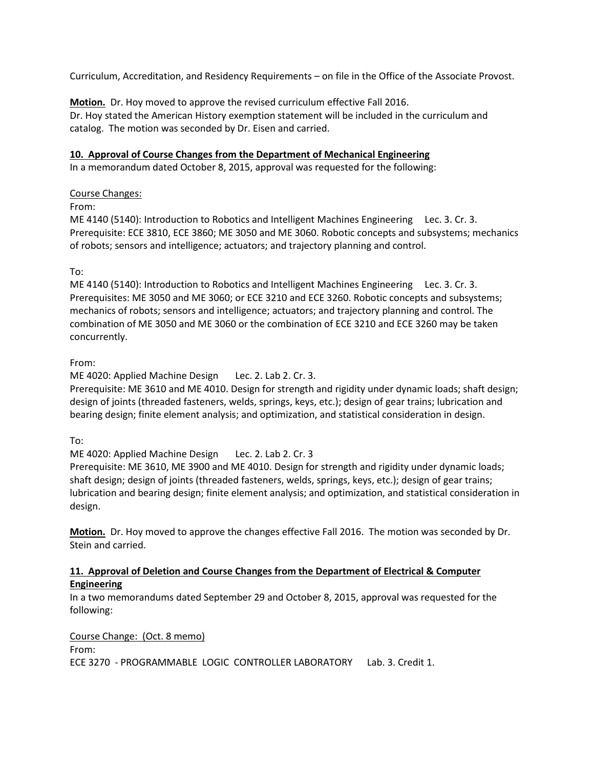Curriculum, Accreditation, and Residency Requirements – on file in the Office of the Associate Provost.

**Motion.** Dr. Hoy moved to approve the revised curriculum effective Fall 2016. Dr. Hoy stated the American History exemption statement will be included in the curriculum and catalog. The motion was seconded by Dr. Eisen and carried.

#### **10. Approval of Course Changes from the Department of Mechanical Engineering**

In a memorandum dated October 8, 2015, approval was requested for the following:

#### Course Changes:

From:

ME 4140 (5140): Introduction to Robotics and Intelligent Machines Engineering Lec. 3. Cr. 3. Prerequisite: ECE 3810, ECE 3860; ME 3050 and ME 3060. Robotic concepts and subsystems; mechanics of robots; sensors and intelligence; actuators; and trajectory planning and control.

### To:

ME 4140 (5140): Introduction to Robotics and Intelligent Machines Engineering Lec. 3. Cr. 3. Prerequisites: ME 3050 and ME 3060; or ECE 3210 and ECE 3260. Robotic concepts and subsystems; mechanics of robots; sensors and intelligence; actuators; and trajectory planning and control. The combination of ME 3050 and ME 3060 or the combination of ECE 3210 and ECE 3260 may be taken concurrently.

### From:

ME 4020: Applied Machine Design Lec. 2. Lab 2. Cr. 3.

Prerequisite: ME 3610 and ME 4010. Design for strength and rigidity under dynamic loads; shaft design; design of joints (threaded fasteners, welds, springs, keys, etc.); design of gear trains; lubrication and bearing design; finite element analysis; and optimization, and statistical consideration in design.

To:

ME 4020: Applied Machine Design Lec. 2. Lab 2. Cr. 3

Prerequisite: ME 3610, ME 3900 and ME 4010. Design for strength and rigidity under dynamic loads; shaft design; design of joints (threaded fasteners, welds, springs, keys, etc.); design of gear trains; lubrication and bearing design; finite element analysis; and optimization, and statistical consideration in design.

**Motion.** Dr. Hoy moved to approve the changes effective Fall 2016. The motion was seconded by Dr. Stein and carried.

#### **11. Approval of Deletion and Course Changes from the Department of Electrical & Computer Engineering**

In a two memorandums dated September 29 and October 8, 2015, approval was requested for the following:

Course Change: (Oct. 8 memo)

From:

ECE 3270 - PROGRAMMABLE LOGIC CONTROLLER LABORATORY Lab. 3. Credit 1.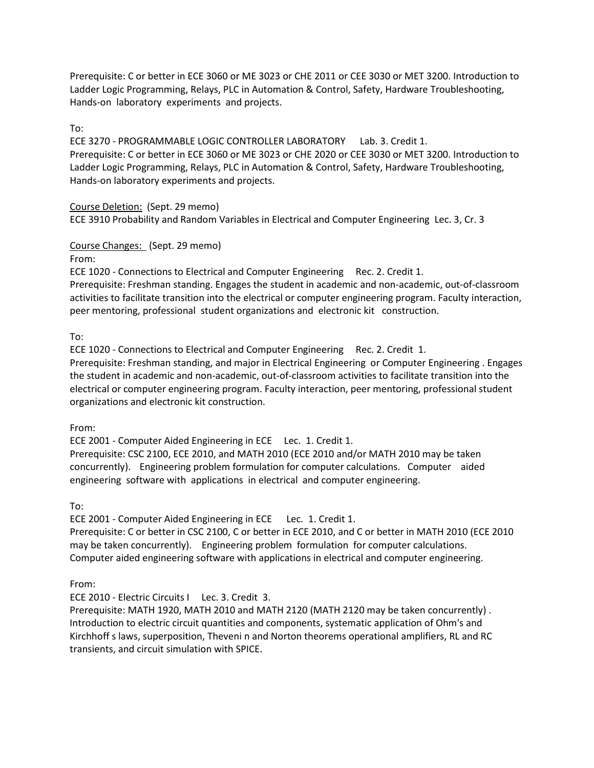Prerequisite: C or better in ECE 3060 or ME 3023 or CHE 2011 or CEE 3030 or MET 3200. Introduction to Ladder Logic Programming, Relays, PLC in Automation & Control, Safety, Hardware Troubleshooting, Hands-on laboratory experiments and projects.

### To:

ECE 3270 - PROGRAMMABLE LOGIC CONTROLLER LABORATORY Lab. 3. Credit 1. Prerequisite: C or better in ECE 3060 or ME 3023 or CHE 2020 or CEE 3030 or MET 3200. Introduction to Ladder Logic Programming, Relays, PLC in Automation & Control, Safety, Hardware Troubleshooting, Hands-on laboratory experiments and projects.

#### Course Deletion: (Sept. 29 memo)

ECE 3910 Probability and Random Variables in Electrical and Computer Engineering Lec. 3, Cr. 3

#### Course Changes: (Sept. 29 memo)

From:

ECE 1020 - Connections to Electrical and Computer Engineering Rec. 2. Credit 1.

Prerequisite: Freshman standing. Engages the student in academic and non-academic, out-of-classroom activities to facilitate transition into the electrical or computer engineering program. Faculty interaction, peer mentoring, professional student organizations and electronic kit construction.

To:

ECE 1020 - Connections to Electrical and Computer Engineering Rec. 2. Credit 1.

Prerequisite: Freshman standing, and major in Electrical Engineering or Computer Engineering . Engages the student in academic and non-academic, out-of-classroom activities to facilitate transition into the electrical or computer engineering program. Faculty interaction, peer mentoring, professional student organizations and electronic kit construction.

From:

ECE 2001 - Computer Aided Engineering in ECE Lec. 1. Credit 1. Prerequisite: CSC 2100, ECE 2010, and MATH 2010 (ECE 2010 and/or MATH 2010 may be taken concurrently). Engineering problem formulation for computer calculations. Computer aided

engineering software with applications in electrical and computer engineering.

To:

ECE 2001 - Computer Aided Engineering in ECE Lec. 1. Credit 1.

Prerequisite: C or better in CSC 2100, C or better in ECE 2010, and C or better in MATH 2010 (ECE 2010 may be taken concurrently). Engineering problem formulation for computer calculations. Computer aided engineering software with applications in electrical and computer engineering.

From:

ECE 2010 - Electric Circuits I Lec. 3. Credit 3.

Prerequisite: MATH 1920, MATH 2010 and MATH 2120 (MATH 2120 may be taken concurrently) . Introduction to electric circuit quantities and components, systematic application of Ohm's and Kirchhoff s laws, superposition, Theveni n and Norton theorems operational amplifiers, RL and RC transients, and circuit simulation with SPICE.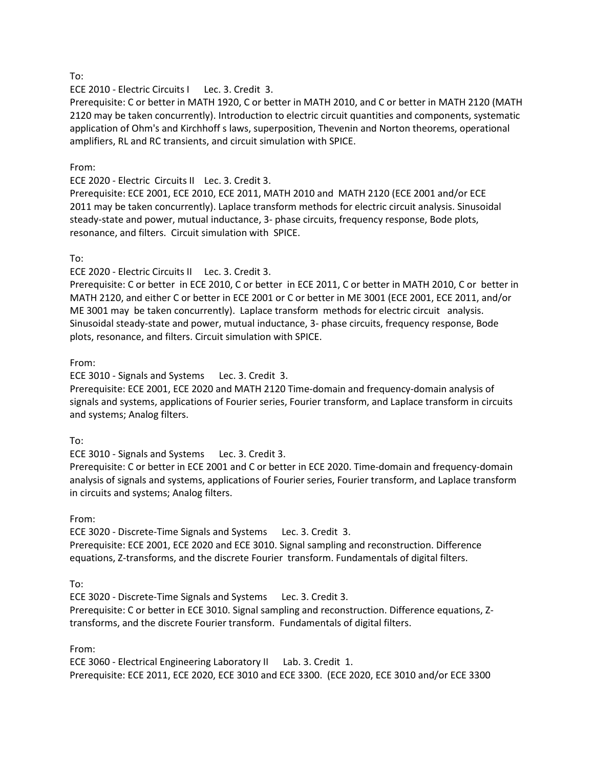ECE 2010 - Electric Circuits I Lec. 3. Credit 3.

Prerequisite: C or better in MATH 1920, C or better in MATH 2010, and C or better in MATH 2120 (MATH 2120 may be taken concurrently). Introduction to electric circuit quantities and components, systematic application of Ohm's and Kirchhoff s laws, superposition, Thevenin and Norton theorems, operational amplifiers, RL and RC transients, and circuit simulation with SPICE.

#### From:

ECE 2020 - Electric Circuits II Lec. 3. Credit 3.

Prerequisite: ECE 2001, ECE 2010, ECE 2011, MATH 2010 and MATH 2120 (ECE 2001 and/or ECE 2011 may be taken concurrently). Laplace transform methods for electric circuit analysis. Sinusoidal steady-state and power, mutual inductance, 3- phase circuits, frequency response, Bode plots, resonance, and filters. Circuit simulation with SPICE.

#### To:

ECE 2020 - Electric Circuits II Lec. 3. Credit 3.

Prerequisite: C or better in ECE 2010, C or better in ECE 2011, C or better in MATH 2010, C or better in MATH 2120, and either C or better in ECE 2001 or C or better in ME 3001 (ECE 2001, ECE 2011, and/or ME 3001 may be taken concurrently). Laplace transform methods for electric circuit analysis. Sinusoidal steady-state and power, mutual inductance, 3- phase circuits, frequency response, Bode plots, resonance, and filters. Circuit simulation with SPICE.

From:

ECE 3010 - Signals and Systems Lec. 3. Credit 3.

Prerequisite: ECE 2001, ECE 2020 and MATH 2120 Time-domain and frequency-domain analysis of signals and systems, applications of Fourier series, Fourier transform, and Laplace transform in circuits and systems; Analog filters.

#### To:

ECE 3010 - Signals and Systems Lec. 3. Credit 3.

Prerequisite: C or better in ECE 2001 and C or better in ECE 2020. Time-domain and frequency-domain analysis of signals and systems, applications of Fourier series, Fourier transform, and Laplace transform in circuits and systems; Analog filters.

#### From:

ECE 3020 - Discrete-Time Signals and Systems Lec. 3. Credit 3.

Prerequisite: ECE 2001, ECE 2020 and ECE 3010. Signal sampling and reconstruction. Difference equations, Z-transforms, and the discrete Fourier transform. Fundamentals of digital filters.

To:

ECE 3020 - Discrete-Time Signals and Systems Lec. 3. Credit 3. Prerequisite: C or better in ECE 3010. Signal sampling and reconstruction. Difference equations, Ztransforms, and the discrete Fourier transform. Fundamentals of digital filters.

From:

ECE 3060 - Electrical Engineering Laboratory II Lab. 3. Credit 1. Prerequisite: ECE 2011, ECE 2020, ECE 3010 and ECE 3300. (ECE 2020, ECE 3010 and/or ECE 3300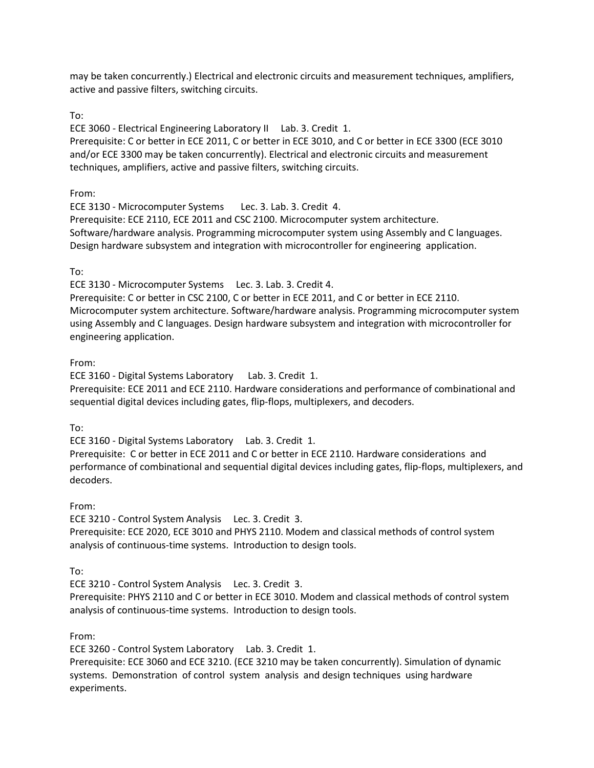may be taken concurrently.) Electrical and electronic circuits and measurement techniques, amplifiers, active and passive filters, switching circuits.

To:

ECE 3060 - Electrical Engineering Laboratory II Lab. 3. Credit 1. Prerequisite: C or better in ECE 2011, C or better in ECE 3010, and C or better in ECE 3300 (ECE 3010 and/or ECE 3300 may be taken concurrently). Electrical and electronic circuits and measurement techniques, amplifiers, active and passive filters, switching circuits.

From:

ECE 3130 - Microcomputer Systems Lec. 3. Lab. 3. Credit 4. Prerequisite: ECE 2110, ECE 2011 and CSC 2100. Microcomputer system architecture. Software/hardware analysis. Programming microcomputer system using Assembly and C languages. Design hardware subsystem and integration with microcontroller for engineering application.

# To:

ECE 3130 - Microcomputer Systems Lec. 3. Lab. 3. Credit 4.

Prerequisite: C or better in CSC 2100, C or better in ECE 2011, and C or better in ECE 2110. Microcomputer system architecture. Software/hardware analysis. Programming microcomputer system using Assembly and C languages. Design hardware subsystem and integration with microcontroller for engineering application.

# From:

ECE 3160 - Digital Systems Laboratory Lab. 3. Credit 1.

Prerequisite: ECE 2011 and ECE 2110. Hardware considerations and performance of combinational and sequential digital devices including gates, flip-flops, multiplexers, and decoders.

To:

ECE 3160 - Digital Systems Laboratory Lab. 3. Credit 1.

Prerequisite: C or better in ECE 2011 and C or better in ECE 2110. Hardware considerations and performance of combinational and sequential digital devices including gates, flip-flops, multiplexers, and decoders.

### From:

ECE 3210 - Control System Analysis Lec. 3. Credit 3. Prerequisite: ECE 2020, ECE 3010 and PHYS 2110. Modem and classical methods of control system analysis of continuous-time systems. Introduction to design tools.

### To:

ECE 3210 - Control System Analysis Lec. 3. Credit 3.

Prerequisite: PHYS 2110 and C or better in ECE 3010. Modem and classical methods of control system analysis of continuous-time systems. Introduction to design tools.

### From:

ECE 3260 - Control System Laboratory Lab. 3. Credit 1.

Prerequisite: ECE 3060 and ECE 3210. (ECE 3210 may be taken concurrently). Simulation of dynamic systems. Demonstration of control system analysis and design techniques using hardware experiments.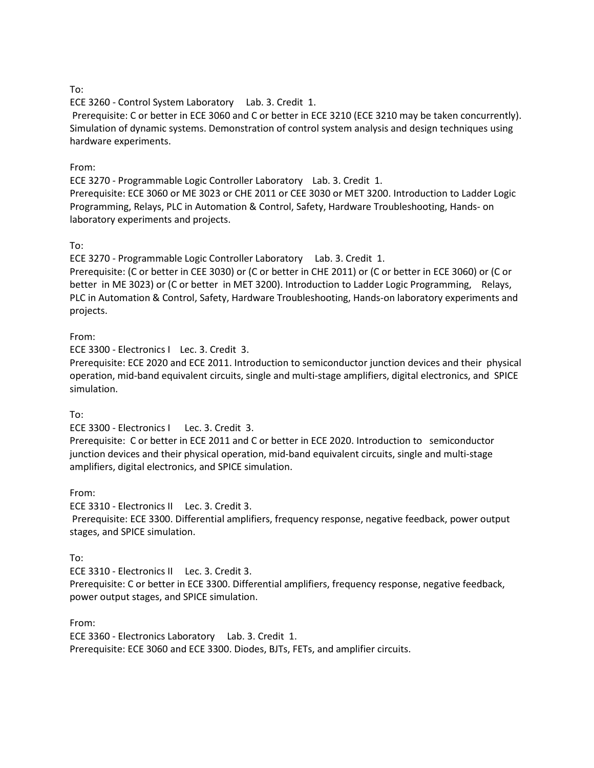ECE 3260 - Control System Laboratory Lab. 3. Credit 1.

Prerequisite: C or better in ECE 3060 and C or better in ECE 3210 (ECE 3210 may be taken concurrently). Simulation of dynamic systems. Demonstration of control system analysis and design techniques using hardware experiments.

#### From:

ECE 3270 - Programmable Logic Controller Laboratory Lab. 3. Credit 1. Prerequisite: ECE 3060 or ME 3023 or CHE 2011 or CEE 3030 or MET 3200. Introduction to Ladder Logic

Programming, Relays, PLC in Automation & Control, Safety, Hardware Troubleshooting, Hands- on laboratory experiments and projects.

### To:

ECE 3270 - Programmable Logic Controller Laboratory Lab. 3. Credit 1.

Prerequisite: (C or better in CEE 3030) or (C or better in CHE 2011) or (C or better in ECE 3060) or (C or better in ME 3023) or (C or better in MET 3200). Introduction to Ladder Logic Programming, Relays, PLC in Automation & Control, Safety, Hardware Troubleshooting, Hands-on laboratory experiments and projects.

### From:

ECE 3300 - Electronics I Lec. 3. Credit 3.

Prerequisite: ECE 2020 and ECE 2011. Introduction to semiconductor junction devices and their physical operation, mid-band equivalent circuits, single and multi-stage amplifiers, digital electronics, and SPICE simulation.

### To:

ECE 3300 - Electronics I Lec. 3. Credit 3.

Prerequisite: C or better in ECE 2011 and C or better in ECE 2020. Introduction to semiconductor junction devices and their physical operation, mid-band equivalent circuits, single and multi-stage amplifiers, digital electronics, and SPICE simulation.

### From:

ECE 3310 - Electronics II Lec. 3. Credit 3. Prerequisite: ECE 3300. Differential amplifiers, frequency response, negative feedback, power output stages, and SPICE simulation.

### To:

ECE 3310 - Electronics II Lec. 3. Credit 3.

Prerequisite: C or better in ECE 3300. Differential amplifiers, frequency response, negative feedback, power output stages, and SPICE simulation.

#### From:

ECE 3360 - Electronics Laboratory Lab. 3. Credit 1. Prerequisite: ECE 3060 and ECE 3300. Diodes, BJTs, FETs, and amplifier circuits.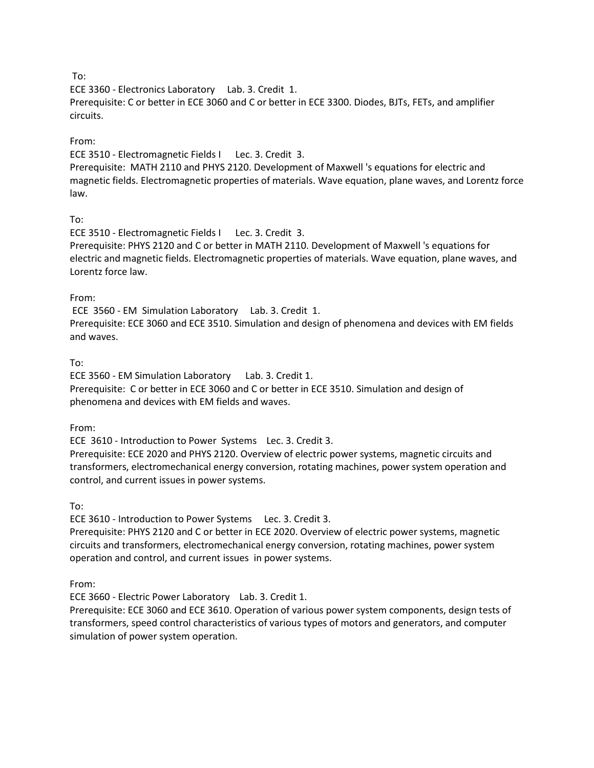ECE 3360 - Electronics Laboratory Lab. 3. Credit 1.

Prerequisite: C or better in ECE 3060 and C or better in ECE 3300. Diodes, BJTs, FETs, and amplifier circuits.

#### From:

ECE 3510 - Electromagnetic Fields I Lec. 3. Credit 3.

Prerequisite: MATH 2110 and PHYS 2120. Development of Maxwell 's equations for electric and magnetic fields. Electromagnetic properties of materials. Wave equation, plane waves, and Lorentz force law.

#### To:

ECE 3510 - Electromagnetic Fields I Lec. 3. Credit 3. Prerequisite: PHYS 2120 and C or better in MATH 2110. Development of Maxwell 's equations for electric and magnetic fields. Electromagnetic properties of materials. Wave equation, plane waves, and Lorentz force law.

#### From:

ECE 3560 - EM Simulation Laboratory Lab. 3. Credit 1. Prerequisite: ECE 3060 and ECE 3510. Simulation and design of phenomena and devices with EM fields and waves.

#### To:

ECE 3560 - EM Simulation Laboratory Lab. 3. Credit 1. Prerequisite: C or better in ECE 3060 and C or better in ECE 3510. Simulation and design of phenomena and devices with EM fields and waves.

From:

ECE 3610 - Introduction to Power Systems Lec. 3. Credit 3.

Prerequisite: ECE 2020 and PHYS 2120. Overview of electric power systems, magnetic circuits and transformers, electromechanical energy conversion, rotating machines, power system operation and control, and current issues in power systems.

To:

ECE 3610 - Introduction to Power Systems Lec. 3. Credit 3.

Prerequisite: PHYS 2120 and C or better in ECE 2020. Overview of electric power systems, magnetic circuits and transformers, electromechanical energy conversion, rotating machines, power system operation and control, and current issues in power systems.

From:

ECE 3660 - Electric Power Laboratory Lab. 3. Credit 1.

Prerequisite: ECE 3060 and ECE 3610. Operation of various power system components, design tests of transformers, speed control characteristics of various types of motors and generators, and computer simulation of power system operation.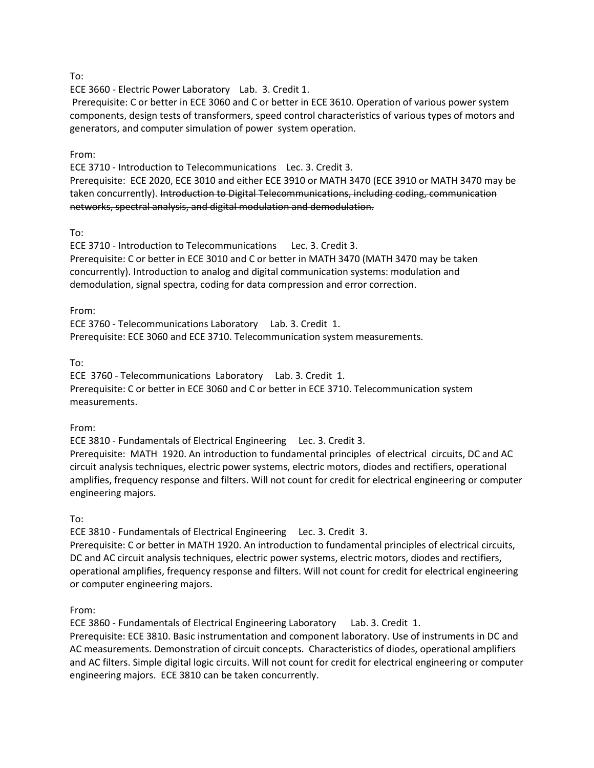ECE 3660 - Electric Power Laboratory Lab. 3. Credit 1.

Prerequisite: C or better in ECE 3060 and C or better in ECE 3610. Operation of various power system components, design tests of transformers, speed control characteristics of various types of motors and generators, and computer simulation of power system operation.

#### From:

ECE 3710 - Introduction to Telecommunications Lec. 3. Credit 3.

Prerequisite: ECE 2020, ECE 3010 and either ECE 3910 or MATH 3470 (ECE 3910 or MATH 3470 may be taken concurrently). Introduction to Digital Telecommunications, including coding, communication networks, spectral analysis, and digital modulation and demodulation.

#### To:

ECE 3710 - Introduction to Telecommunications Lec. 3. Credit 3. Prerequisite: C or better in ECE 3010 and C or better in MATH 3470 (MATH 3470 may be taken concurrently). Introduction to analog and digital communication systems: modulation and demodulation, signal spectra, coding for data compression and error correction.

#### From:

ECE 3760 - Telecommunications Laboratory Lab. 3. Credit 1. Prerequisite: ECE 3060 and ECE 3710. Telecommunication system measurements.

#### To:

ECE 3760 - Telecommunications Laboratory Lab. 3. Credit 1. Prerequisite: C or better in ECE 3060 and C or better in ECE 3710. Telecommunication system measurements.

#### From:

ECE 3810 - Fundamentals of Electrical Engineering Lec. 3. Credit 3.

Prerequisite: MATH 1920. An introduction to fundamental principles of electrical circuits, DC and AC circuit analysis techniques, electric power systems, electric motors, diodes and rectifiers, operational amplifies, frequency response and filters. Will not count for credit for electrical engineering or computer engineering majors.

To:

ECE 3810 - Fundamentals of Electrical Engineering Lec. 3. Credit 3.

Prerequisite: C or better in MATH 1920. An introduction to fundamental principles of electrical circuits, DC and AC circuit analysis techniques, electric power systems, electric motors, diodes and rectifiers, operational amplifies, frequency response and filters. Will not count for credit for electrical engineering or computer engineering majors.

From:

ECE 3860 - Fundamentals of Electrical Engineering Laboratory Lab. 3. Credit 1. Prerequisite: ECE 3810. Basic instrumentation and component laboratory. Use of instruments in DC and AC measurements. Demonstration of circuit concepts. Characteristics of diodes, operational amplifiers and AC filters. Simple digital logic circuits. Will not count for credit for electrical engineering or computer engineering majors. ECE 3810 can be taken concurrently.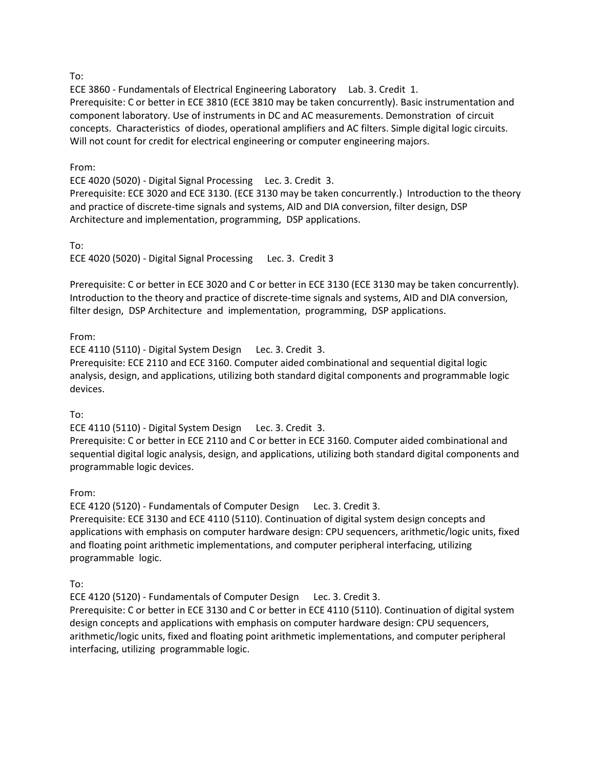ECE 3860 - Fundamentals of Electrical Engineering Laboratory Lab. 3. Credit 1. Prerequisite: C or better in ECE 3810 (ECE 3810 may be taken concurrently). Basic instrumentation and component laboratory. Use of instruments in DC and AC measurements. Demonstration of circuit concepts. Characteristics of diodes, operational amplifiers and AC filters. Simple digital logic circuits. Will not count for credit for electrical engineering or computer engineering majors.

#### From:

ECE 4020 (5020) - Digital Signal Processing Lec. 3. Credit 3. Prerequisite: ECE 3020 and ECE 3130. (ECE 3130 may be taken concurrently.) Introduction to the theory and practice of discrete-time signals and systems, AID and DIA conversion, filter design, DSP Architecture and implementation, programming, DSP applications.

To:

ECE 4020 (5020) - Digital Signal Processing Lec. 3. Credit 3

Prerequisite: C or better in ECE 3020 and C or better in ECE 3130 (ECE 3130 may be taken concurrently). Introduction to the theory and practice of discrete-time signals and systems, AID and DIA conversion, filter design, DSP Architecture and implementation, programming, DSP applications.

### From:

ECE 4110 (5110) - Digital System Design Lec. 3. Credit 3.

Prerequisite: ECE 2110 and ECE 3160. Computer aided combinational and sequential digital logic analysis, design, and applications, utilizing both standard digital components and programmable logic devices.

To:

ECE 4110 (5110) - Digital System Design Lec. 3. Credit 3.

Prerequisite: C or better in ECE 2110 and C or better in ECE 3160. Computer aided combinational and sequential digital logic analysis, design, and applications, utilizing both standard digital components and programmable logic devices.

From:

ECE 4120 (5120) - Fundamentals of Computer Design Lec. 3. Credit 3. Prerequisite: ECE 3130 and ECE 4110 (5110). Continuation of digital system design concepts and applications with emphasis on computer hardware design: CPU sequencers, arithmetic/logic units, fixed and floating point arithmetic implementations, and computer peripheral interfacing, utilizing programmable logic.

To:

ECE 4120 (5120) - Fundamentals of Computer Design Lec. 3. Credit 3.

Prerequisite: C or better in ECE 3130 and C or better in ECE 4110 (5110). Continuation of digital system design concepts and applications with emphasis on computer hardware design: CPU sequencers, arithmetic/logic units, fixed and floating point arithmetic implementations, and computer peripheral interfacing, utilizing programmable logic.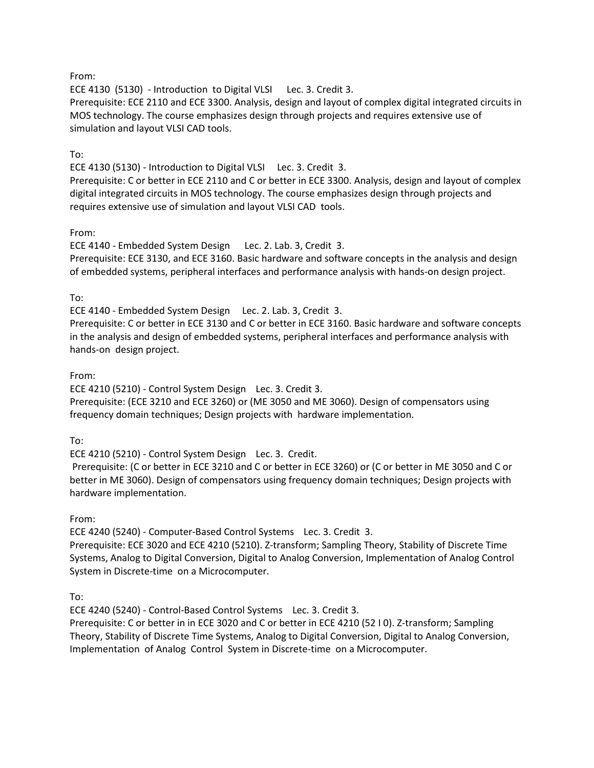From:

ECE 4130 (5130) - Introduction to Digital VLSI Lec. 3. Credit 3.

Prerequisite: ECE 2110 and ECE 3300. Analysis, design and layout of complex digital integrated circuits in MOS technology. The course emphasizes design through projects and requires extensive use of simulation and layout VLSI CAD tools.

### To:

ECE 4130 (5130) - Introduction to Digital VLSI Lec. 3. Credit 3.

Prerequisite: C or better in ECE 2110 and C or better in ECE 3300. Analysis, design and layout of complex digital integrated circuits in MOS technology. The course emphasizes design through projects and requires extensive use of simulation and layout VLSI CAD tools.

#### From:

ECE 4140 - Embedded System Design Lec. 2. Lab. 3, Credit 3. Prerequisite: ECE 3130, and ECE 3160. Basic hardware and software concepts in the analysis and design of embedded systems, peripheral interfaces and performance analysis with hands-on design project.

#### To:

ECE 4140 - Embedded System Design Lec. 2. Lab. 3, Credit 3.

Prerequisite: C or better in ECE 3130 and C or better in ECE 3160. Basic hardware and software concepts in the analysis and design of embedded systems, peripheral interfaces and performance analysis with hands-on design project.

#### From:

ECE 4210 (5210) - Control System Design Lec. 3. Credit 3.

Prerequisite: (ECE 3210 and ECE 3260) or (ME 3050 and ME 3060). Design of compensators using frequency domain techniques; Design projects with hardware implementation.

#### To:

ECE 4210 (5210) - Control System Design Lec. 3. Credit.

Prerequisite: (C or better in ECE 3210 and C or better in ECE 3260) or (C or better in ME 3050 and C or better in ME 3060). Design of compensators using frequency domain techniques; Design projects with hardware implementation.

From:

ECE 4240 (5240) - Computer-Based Control Systems Lec. 3. Credit 3.

Prerequisite: ECE 3020 and ECE 4210 (5210). Z-transform; Sampling Theory, Stability of Discrete Time Systems, Analog to Digital Conversion, Digital to Analog Conversion, Implementation of Analog Control System in Discrete-time on a Microcomputer.

To:

ECE 4240 (5240) - Control-Based Control Systems Lec. 3. Credit 3.

Prerequisite: C or better in in ECE 3020 and C or better in ECE 4210 (52 I 0). Z-transform; Sampling Theory, Stability of Discrete Time Systems, Analog to Digital Conversion, Digital to Analog Conversion, Implementation of Analog Control System in Discrete-time on a Microcomputer.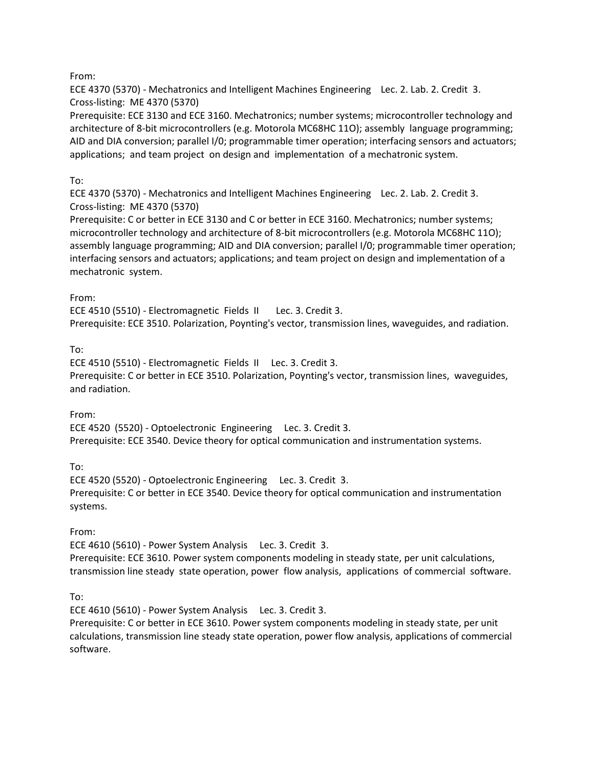From:

ECE 4370 (5370) - Mechatronics and Intelligent Machines Engineering Lec. 2. Lab. 2. Credit 3. Cross-listing: ME 4370 (5370)

Prerequisite: ECE 3130 and ECE 3160. Mechatronics; number systems; microcontroller technology and architecture of 8-bit microcontrollers (e.g. Motorola MC68HC 11O); assembly language programming; AID and DIA conversion; parallel I/0; programmable timer operation; interfacing sensors and actuators; applications; and team project on design and implementation of a mechatronic system.

# To:

ECE 4370 (5370) - Mechatronics and Intelligent Machines Engineering Lec. 2. Lab. 2. Credit 3. Cross-listing: ME 4370 (5370)

Prerequisite: C or better in ECE 3130 and C or better in ECE 3160. Mechatronics; number systems; microcontroller technology and architecture of 8-bit microcontrollers (e.g. Motorola MC68HC 11O); assembly language programming; AID and DIA conversion; parallel I/0; programmable timer operation; interfacing sensors and actuators; applications; and team project on design and implementation of a mechatronic system.

### From:

ECE 4510 (5510) - Electromagnetic Fields II Lec. 3. Credit 3. Prerequisite: ECE 3510. Polarization, Poynting's vector, transmission lines, waveguides, and radiation.

# To:

ECE 4510 (5510) - Electromagnetic Fields II Lec. 3. Credit 3. Prerequisite: C or better in ECE 3510. Polarization, Poynting's vector, transmission lines, waveguides, and radiation.

From:

ECE 4520 (5520) - Optoelectronic Engineering Lec. 3. Credit 3. Prerequisite: ECE 3540. Device theory for optical communication and instrumentation systems.

To:

ECE 4520 (5520) - Optoelectronic Engineering Lec. 3. Credit 3. Prerequisite: C or better in ECE 3540. Device theory for optical communication and instrumentation systems.

From:

ECE 4610 (5610) - Power System Analysis Lec. 3. Credit 3. Prerequisite: ECE 3610. Power system components modeling in steady state, per unit calculations, transmission line steady state operation, power flow analysis, applications of commercial software.

To:

ECE 4610 (5610) - Power System Analysis Lec. 3. Credit 3.

Prerequisite: C or better in ECE 3610. Power system components modeling in steady state, per unit calculations, transmission line steady state operation, power flow analysis, applications of commercial software.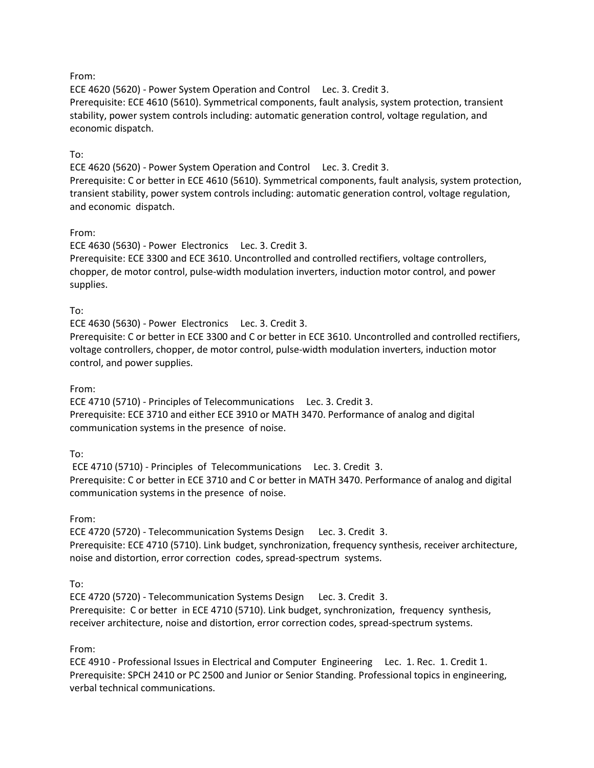#### From:

ECE 4620 (5620) - Power System Operation and Control Lec. 3. Credit 3. Prerequisite: ECE 4610 (5610). Symmetrical components, fault analysis, system protection, transient stability, power system controls including: automatic generation control, voltage regulation, and economic dispatch.

#### To:

ECE 4620 (5620) - Power System Operation and Control Lec. 3. Credit 3. Prerequisite: C or better in ECE 4610 (5610). Symmetrical components, fault analysis, system protection, transient stability, power system controls including: automatic generation control, voltage regulation, and economic dispatch.

#### From:

ECE 4630 (5630) - Power Electronics Lec. 3. Credit 3. Prerequisite: ECE 3300 and ECE 3610. Uncontrolled and controlled rectifiers, voltage controllers, chopper, de motor control, pulse-width modulation inverters, induction motor control, and power supplies.

#### To:

ECE 4630 (5630) - Power Electronics Lec. 3. Credit 3.

Prerequisite: C or better in ECE 3300 and C or better in ECE 3610. Uncontrolled and controlled rectifiers, voltage controllers, chopper, de motor control, pulse-width modulation inverters, induction motor control, and power supplies.

#### From:

ECE 4710 (5710) - Principles of Telecommunications Lec. 3. Credit 3. Prerequisite: ECE 3710 and either ECE 3910 or MATH 3470. Performance of analog and digital communication systems in the presence of noise.

#### To:

ECE 4710 (5710) - Principles of Telecommunications Lec. 3. Credit 3. Prerequisite: C or better in ECE 3710 and C or better in MATH 3470. Performance of analog and digital communication systems in the presence of noise.

#### From:

ECE 4720 (5720) - Telecommunication Systems Design Lec. 3. Credit 3. Prerequisite: ECE 4710 (5710). Link budget, synchronization, frequency synthesis, receiver architecture, noise and distortion, error correction codes, spread-spectrum systems.

#### To:

ECE 4720 (5720) - Telecommunication Systems Design Lec. 3. Credit 3. Prerequisite: C or better in ECE 4710 (5710). Link budget, synchronization, frequency synthesis, receiver architecture, noise and distortion, error correction codes, spread-spectrum systems.

#### From:

ECE 4910 - Professional Issues in Electrical and Computer Engineering Lec. 1. Rec. 1. Credit 1. Prerequisite: SPCH 2410 or PC 2500 and Junior or Senior Standing. Professional topics in engineering, verbal technical communications.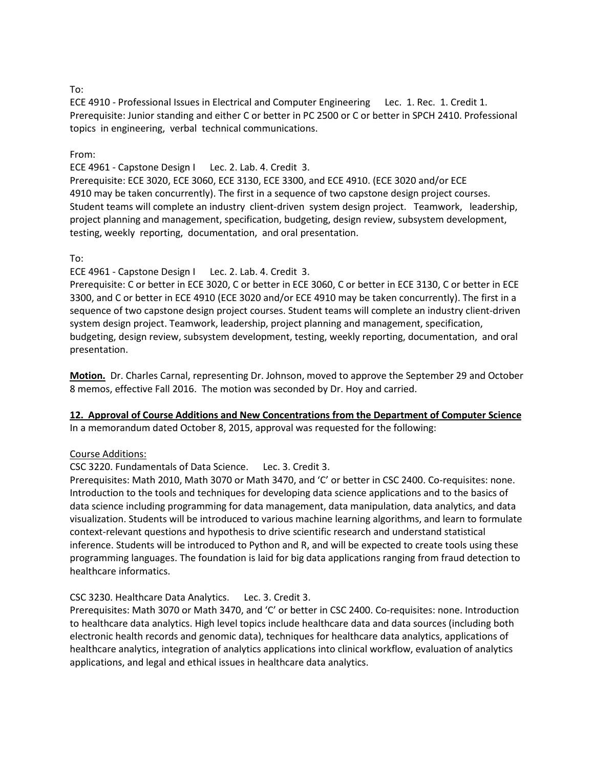ECE 4910 - Professional Issues in Electrical and Computer Engineering Lec. 1. Rec. 1. Credit 1. Prerequisite: Junior standing and either C or better in PC 2500 or C or better in SPCH 2410. Professional topics in engineering, verbal technical communications.

#### From:

ECE 4961 - Capstone Design I Lec. 2. Lab. 4. Credit 3.

Prerequisite: ECE 3020, ECE 3060, ECE 3130, ECE 3300, and ECE 4910. (ECE 3020 and/or ECE 4910 may be taken concurrently). The first in a sequence of two capstone design project courses. Student teams will complete an industry client-driven system design project. Teamwork, leadership, project planning and management, specification, budgeting, design review, subsystem development, testing, weekly reporting, documentation, and oral presentation.

#### To:

ECE 4961 - Capstone Design I Lec. 2. Lab. 4. Credit 3.

Prerequisite: C or better in ECE 3020, C or better in ECE 3060, C or better in ECE 3130, C or better in ECE 3300, and C or better in ECE 4910 (ECE 3020 and/or ECE 4910 may be taken concurrently). The first in a sequence of two capstone design project courses. Student teams will complete an industry client-driven system design project. Teamwork, leadership, project planning and management, specification, budgeting, design review, subsystem development, testing, weekly reporting, documentation, and oral presentation.

**Motion.** Dr. Charles Carnal, representing Dr. Johnson, moved to approve the September 29 and October 8 memos, effective Fall 2016. The motion was seconded by Dr. Hoy and carried.

**12. Approval of Course Additions and New Concentrations from the Department of Computer Science** In a memorandum dated October 8, 2015, approval was requested for the following:

#### Course Additions:

CSC 3220. Fundamentals of Data Science. Lec. 3. Credit 3.

Prerequisites: Math 2010, Math 3070 or Math 3470, and 'C' or better in CSC 2400. Co-requisites: none. Introduction to the tools and techniques for developing data science applications and to the basics of data science including programming for data management, data manipulation, data analytics, and data visualization. Students will be introduced to various machine learning algorithms, and learn to formulate context-relevant questions and hypothesis to drive scientific research and understand statistical inference. Students will be introduced to Python and R, and will be expected to create tools using these programming languages. The foundation is laid for big data applications ranging from fraud detection to healthcare informatics.

#### CSC 3230. Healthcare Data Analytics. Lec. 3. Credit 3.

Prerequisites: Math 3070 or Math 3470, and 'C' or better in CSC 2400. Co-requisites: none. Introduction to healthcare data analytics. High level topics include healthcare data and data sources (including both electronic health records and genomic data), techniques for healthcare data analytics, applications of healthcare analytics, integration of analytics applications into clinical workflow, evaluation of analytics applications, and legal and ethical issues in healthcare data analytics.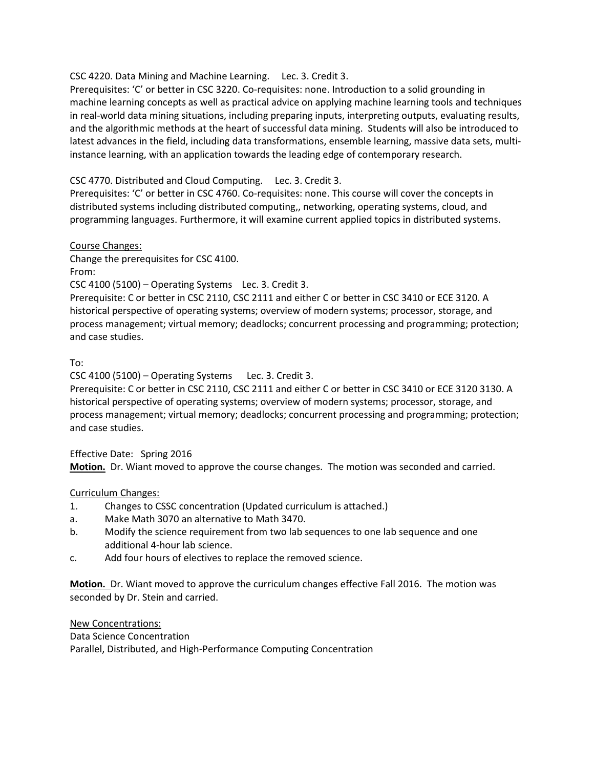#### CSC 4220. Data Mining and Machine Learning. Lec. 3. Credit 3.

Prerequisites: 'C' or better in CSC 3220. Co-requisites: none. Introduction to a solid grounding in machine learning concepts as well as practical advice on applying machine learning tools and techniques in real-world data mining situations, including preparing inputs, interpreting outputs, evaluating results, and the algorithmic methods at the heart of successful data mining. Students will also be introduced to latest advances in the field, including data transformations, ensemble learning, massive data sets, multiinstance learning, with an application towards the leading edge of contemporary research.

#### CSC 4770. Distributed and Cloud Computing. Lec. 3. Credit 3.

Prerequisites: 'C' or better in CSC 4760. Co-requisites: none. This course will cover the concepts in distributed systems including distributed computing,, networking, operating systems, cloud, and programming languages. Furthermore, it will examine current applied topics in distributed systems.

#### Course Changes:

Change the prerequisites for CSC 4100.

From:

CSC 4100 (5100) – Operating Systems Lec. 3. Credit 3.

Prerequisite: C or better in CSC 2110, CSC 2111 and either C or better in CSC 3410 or ECE 3120. A historical perspective of operating systems; overview of modern systems; processor, storage, and process management; virtual memory; deadlocks; concurrent processing and programming; protection; and case studies.

#### To:

CSC 4100 (5100) – Operating Systems Lec. 3. Credit 3.

Prerequisite: C or better in CSC 2110, CSC 2111 and either C or better in CSC 3410 or ECE 3120 3130. A historical perspective of operating systems; overview of modern systems; processor, storage, and process management; virtual memory; deadlocks; concurrent processing and programming; protection; and case studies.

#### Effective Date: Spring 2016

**Motion.** Dr. Wiant moved to approve the course changes. The motion was seconded and carried.

#### Curriculum Changes:

- 1. Changes to CSSC concentration (Updated curriculum is attached.)
- a. Make Math 3070 an alternative to Math 3470.
- b. Modify the science requirement from two lab sequences to one lab sequence and one additional 4-hour lab science.
- c. Add four hours of electives to replace the removed science.

**Motion.** Dr. Wiant moved to approve the curriculum changes effective Fall 2016. The motion was seconded by Dr. Stein and carried.

New Concentrations:

Data Science Concentration

Parallel, Distributed, and High-Performance Computing Concentration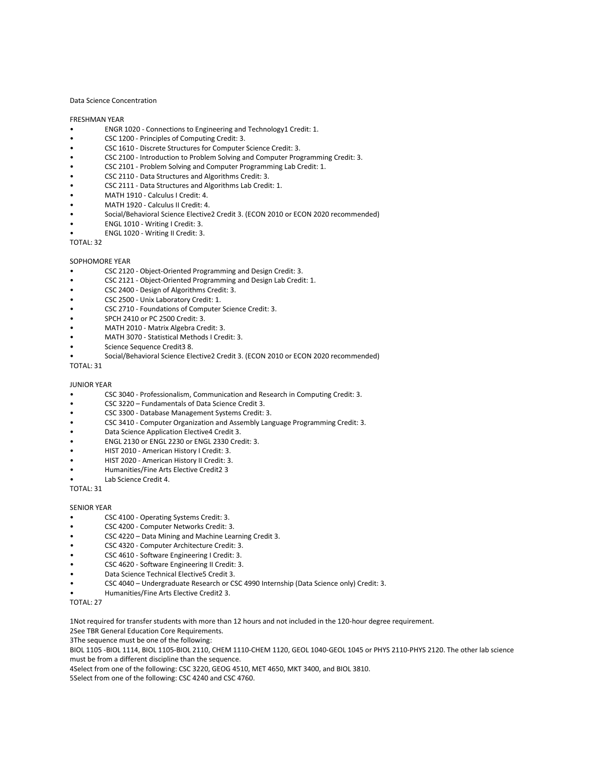#### Data Science Concentration

#### FRESHMAN YEAR

- ENGR 1020 Connections to Engineering and Technology1 Credit: 1.
- CSC 1200 Principles of Computing Credit: 3.
- CSC 1610 Discrete Structures for Computer Science Credit: 3.
- CSC 2100 Introduction to Problem Solving and Computer Programming Credit: 3.
- CSC 2101 Problem Solving and Computer Programming Lab Credit: 1.
- CSC 2110 Data Structures and Algorithms Credit: 3.
- CSC 2111 Data Structures and Algorithms Lab Credit: 1.
- MATH 1910 Calculus I Credit: 4.
- MATH 1920 Calculus II Credit: 4.
- Social/Behavioral Science Elective2 Credit 3. (ECON 2010 or ECON 2020 recommended)
- ENGL 1010 Writing I Credit: 3.
- ENGL 1020 Writing II Credit: 3.

TOTAL: 32

#### SOPHOMORE YEAR

- CSC 2120 Object-Oriented Programming and Design Credit: 3.
- CSC 2121 Object-Oriented Programming and Design Lab Credit: 1.
- CSC 2400 Design of Algorithms Credit: 3.
- CSC 2500 Unix Laboratory Credit: 1.
- CSC 2710 Foundations of Computer Science Credit: 3.
- SPCH 2410 or PC 2500 Credit: 3.
- MATH 2010 Matrix Algebra Credit: 3.
- MATH 3070 Statistical Methods I Credit: 3.
- Science Sequence Credit3 8.
- Social/Behavioral Science Elective2 Credit 3. (ECON 2010 or ECON 2020 recommended)

TOTAL: 31

#### JUNIOR YEAR

- CSC 3040 Professionalism, Communication and Research in Computing Credit: 3.
- CSC 3220 Fundamentals of Data Science Credit 3.
- CSC 3300 Database Management Systems Credit: 3.
- CSC 3410 Computer Organization and Assembly Language Programming Credit: 3.
- Data Science Application Elective4 Credit 3.
- ENGL 2130 or ENGL 2230 or ENGL 2330 Credit: 3.
- HIST 2010 American History I Credit: 3.
- HIST 2020 American History II Credit: 3.
- Humanities/Fine Arts Elective Credit2 3
- Lab Science Credit 4.

TOTAL: 31

#### SENIOR YEAR

- CSC 4100 Operating Systems Credit: 3.
- CSC 4200 Computer Networks Credit: 3.
- CSC 4220 Data Mining and Machine Learning Credit 3.
- CSC 4320 Computer Architecture Credit: 3.
- CSC 4610 Software Engineering I Credit: 3.
- CSC 4620 Software Engineering II Credit: 3.
- Data Science Technical Elective5 Credit 3.
- CSC 4040 Undergraduate Research or CSC 4990 Internship (Data Science only) Credit: 3.
- Humanities/Fine Arts Elective Credit2 3.

TOTAL: 27

1Not required for transfer students with more than 12 hours and not included in the 120-hour degree requirement.

2See TBR General Education Core Requirements.

3The sequence must be one of the following:

BIOL 1105 -BIOL 1114, BIOL 1105-BIOL 2110, CHEM 1110-CHEM 1120, GEOL 1040-GEOL 1045 or PHYS 2110-PHYS 2120. The other lab science must be from a different discipline than the sequence.

4Select from one of the following: CSC 3220, GEOG 4510, MET 4650, MKT 3400, and BIOL 3810.

5Select from one of the following: CSC 4240 and CSC 4760.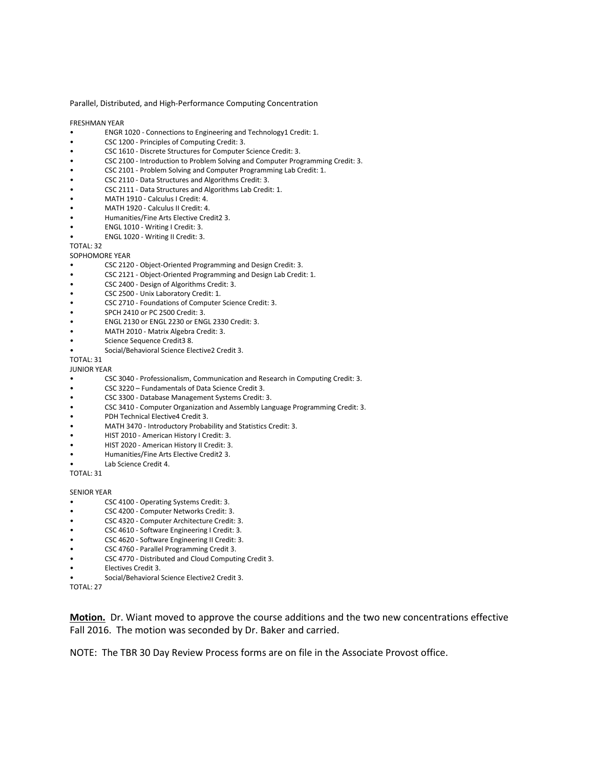Parallel, Distributed, and High-Performance Computing Concentration

FRESHMAN YEAR

- ENGR 1020 Connections to Engineering and Technology1 Credit: 1.
- CSC 1200 Principles of Computing Credit: 3.
- CSC 1610 Discrete Structures for Computer Science Credit: 3.
- CSC 2100 Introduction to Problem Solving and Computer Programming Credit: 3.
- CSC 2101 Problem Solving and Computer Programming Lab Credit: 1.
- CSC 2110 Data Structures and Algorithms Credit: 3.
- CSC 2111 Data Structures and Algorithms Lab Credit: 1.
- MATH 1910 Calculus I Credit: 4.
- MATH 1920 Calculus II Credit: 4.
- Humanities/Fine Arts Elective Credit2 3.
- ENGL 1010 Writing I Credit: 3.
- ENGL 1020 Writing II Credit: 3.

TOTAL: 32

- SOPHOMORE YEAR
- CSC 2120 Object-Oriented Programming and Design Credit: 3.
- CSC 2121 Object-Oriented Programming and Design Lab Credit: 1.
- CSC 2400 Design of Algorithms Credit: 3.
- CSC 2500 Unix Laboratory Credit: 1.
- CSC 2710 Foundations of Computer Science Credit: 3.
- SPCH 2410 or PC 2500 Credit: 3.
- ENGL 2130 or ENGL 2230 or ENGL 2330 Credit: 3.
- MATH 2010 Matrix Algebra Credit: 3.
- Science Sequence Credit3 8.
- Social/Behavioral Science Elective2 Credit 3.

TOTAL: 31

JUNIOR YEAR

- CSC 3040 Professionalism, Communication and Research in Computing Credit: 3.
- CSC 3220 Fundamentals of Data Science Credit 3.
- CSC 3300 Database Management Systems Credit: 3.
- CSC 3410 Computer Organization and Assembly Language Programming Credit: 3.
- PDH Technical Elective4 Credit 3.
- MATH 3470 Introductory Probability and Statistics Credit: 3.
- HIST 2010 American History I Credit: 3.
- HIST 2020 American History II Credit: 3.
- Humanities/Fine Arts Elective Credit2 3.
- Lab Science Credit 4.

TOTAL: 31

#### SENIOR YEAR

- CSC 4100 Operating Systems Credit: 3.
- CSC 4200 Computer Networks Credit: 3.
- CSC 4320 Computer Architecture Credit: 3.
- CSC 4610 Software Engineering I Credit: 3.
- CSC 4620 Software Engineering II Credit: 3.
- CSC 4760 Parallel Programming Credit 3.
- CSC 4770 Distributed and Cloud Computing Credit 3.
- Electives Credit 3.
- Social/Behavioral Science Elective2 Credit 3.
- TOTAL: 27

**Motion.** Dr. Wiant moved to approve the course additions and the two new concentrations effective Fall 2016. The motion was seconded by Dr. Baker and carried.

NOTE: The TBR 30 Day Review Process forms are on file in the Associate Provost office.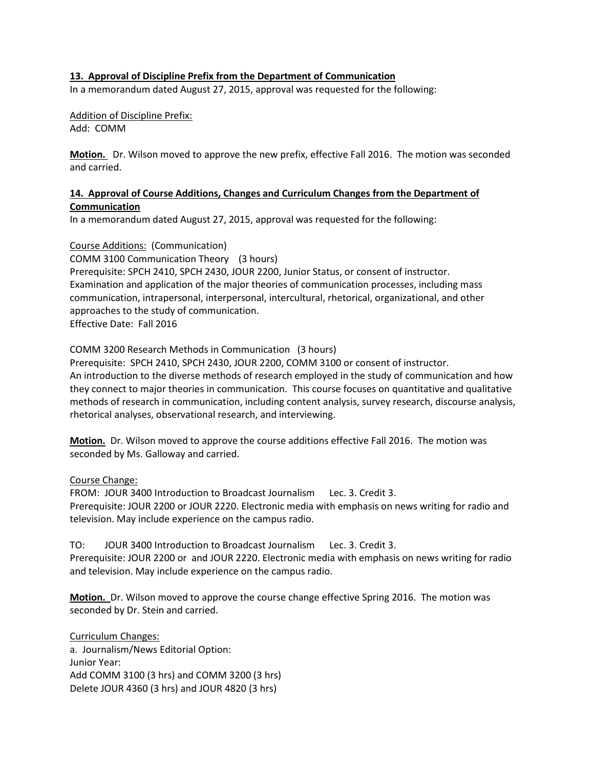#### **13. Approval of Discipline Prefix from the Department of Communication**

In a memorandum dated August 27, 2015, approval was requested for the following:

Addition of Discipline Prefix: Add: COMM

**Motion.** Dr. Wilson moved to approve the new prefix, effective Fall 2016. The motion was seconded and carried.

#### **14. Approval of Course Additions, Changes and Curriculum Changes from the Department of Communication**

In a memorandum dated August 27, 2015, approval was requested for the following:

Course Additions: (Communication)

COMM 3100 Communication Theory (3 hours)

Prerequisite: SPCH 2410, SPCH 2430, JOUR 2200, Junior Status, or consent of instructor. Examination and application of the major theories of communication processes, including mass communication, intrapersonal, interpersonal, intercultural, rhetorical, organizational, and other approaches to the study of communication. Effective Date: Fall 2016

COMM 3200 Research Methods in Communication (3 hours)

Prerequisite: SPCH 2410, SPCH 2430, JOUR 2200, COMM 3100 or consent of instructor. An introduction to the diverse methods of research employed in the study of communication and how

they connect to major theories in communication. This course focuses on quantitative and qualitative methods of research in communication, including content analysis, survey research, discourse analysis, rhetorical analyses, observational research, and interviewing.

**Motion.** Dr. Wilson moved to approve the course additions effective Fall 2016. The motion was seconded by Ms. Galloway and carried.

Course Change:

FROM: JOUR 3400 Introduction to Broadcast Journalism Lec. 3. Credit 3. Prerequisite: JOUR 2200 or JOUR 2220. Electronic media with emphasis on news writing for radio and television. May include experience on the campus radio.

TO: JOUR 3400 Introduction to Broadcast Journalism Lec. 3. Credit 3. Prerequisite: JOUR 2200 or and JOUR 2220. Electronic media with emphasis on news writing for radio and television. May include experience on the campus radio.

**Motion.** Dr. Wilson moved to approve the course change effective Spring 2016. The motion was seconded by Dr. Stein and carried.

Curriculum Changes: a. Journalism/News Editorial Option: Junior Year: Add COMM 3100 (3 hrs) and COMM 3200 (3 hrs) Delete JOUR 4360 (3 hrs) and JOUR 4820 (3 hrs)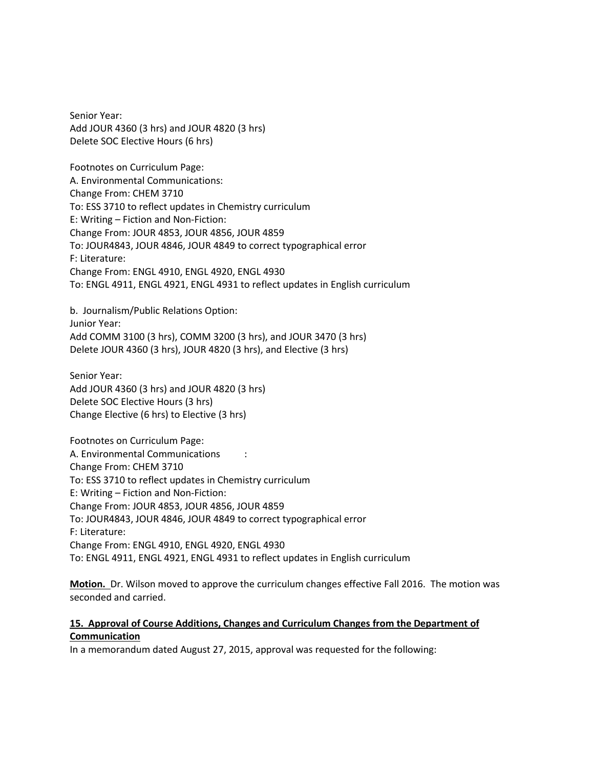Senior Year: Add JOUR 4360 (3 hrs) and JOUR 4820 (3 hrs) Delete SOC Elective Hours (6 hrs)

Footnotes on Curriculum Page: A. Environmental Communications: Change From: CHEM 3710 To: ESS 3710 to reflect updates in Chemistry curriculum E: Writing – Fiction and Non-Fiction: Change From: JOUR 4853, JOUR 4856, JOUR 4859 To: JOUR4843, JOUR 4846, JOUR 4849 to correct typographical error F: Literature: Change From: ENGL 4910, ENGL 4920, ENGL 4930 To: ENGL 4911, ENGL 4921, ENGL 4931 to reflect updates in English curriculum

b. Journalism/Public Relations Option: Junior Year: Add COMM 3100 (3 hrs), COMM 3200 (3 hrs), and JOUR 3470 (3 hrs) Delete JOUR 4360 (3 hrs), JOUR 4820 (3 hrs), and Elective (3 hrs)

Senior Year: Add JOUR 4360 (3 hrs) and JOUR 4820 (3 hrs) Delete SOC Elective Hours (3 hrs) Change Elective (6 hrs) to Elective (3 hrs)

Footnotes on Curriculum Page: A. Environmental Communications : Change From: CHEM 3710 To: ESS 3710 to reflect updates in Chemistry curriculum E: Writing – Fiction and Non-Fiction: Change From: JOUR 4853, JOUR 4856, JOUR 4859 To: JOUR4843, JOUR 4846, JOUR 4849 to correct typographical error F: Literature: Change From: ENGL 4910, ENGL 4920, ENGL 4930 To: ENGL 4911, ENGL 4921, ENGL 4931 to reflect updates in English curriculum

**Motion.** Dr. Wilson moved to approve the curriculum changes effective Fall 2016. The motion was seconded and carried.

#### **15. Approval of Course Additions, Changes and Curriculum Changes from the Department of Communication**

In a memorandum dated August 27, 2015, approval was requested for the following: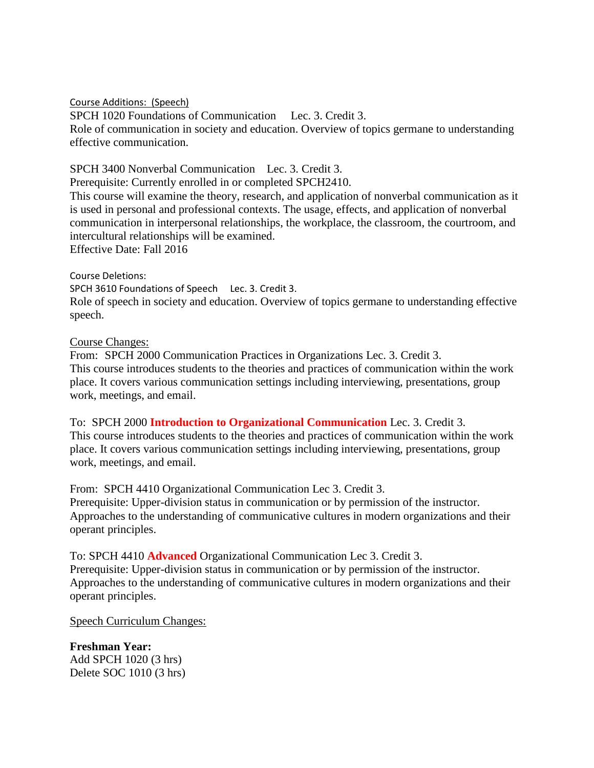Course Additions: (Speech)

SPCH 1020 Foundations of CommunicationLec. 3. Credit 3. Role of communication in society and education. Overview of topics germane to understanding effective communication.

## SPCH 3400 Nonverbal CommunicationLec. 3. Credit 3.

Prerequisite: Currently enrolled in or completed SPCH2410.

This course will examine the theory, research, and application of nonverbal communication as it is used in personal and professional contexts. The usage, effects, and application of nonverbal communication in interpersonal relationships, the workplace, the classroom, the courtroom, and intercultural relationships will be examined. Effective Date: Fall 2016

Course Deletions:

SPCH 3610 Foundations of Speech Lec. 3. Credit 3.

Role of speech in society and education. Overview of topics germane to understanding effective speech.

# Course Changes:

From: SPCH 2000 Communication Practices in Organizations Lec. 3. Credit 3. This course introduces students to the theories and practices of communication within the work place. It covers various communication settings including interviewing, presentations, group work, meetings, and email.

To: SPCH 2000 **Introduction to Organizational Communication** Lec. 3. Credit 3. This course introduces students to the theories and practices of communication within the work place. It covers various communication settings including interviewing, presentations, group work, meetings, and email.

From: SPCH 4410 Organizational Communication Lec 3. Credit 3.

Prerequisite: Upper-division status in communication or by permission of the instructor. Approaches to the understanding of communicative cultures in modern organizations and their operant principles.

To: SPCH 4410 **Advanced** Organizational Communication Lec 3. Credit 3. Prerequisite: Upper-division status in communication or by permission of the instructor. Approaches to the understanding of communicative cultures in modern organizations and their operant principles.

Speech Curriculum Changes:

**Freshman Year:** Add SPCH 1020 (3 hrs) Delete SOC 1010 (3 hrs)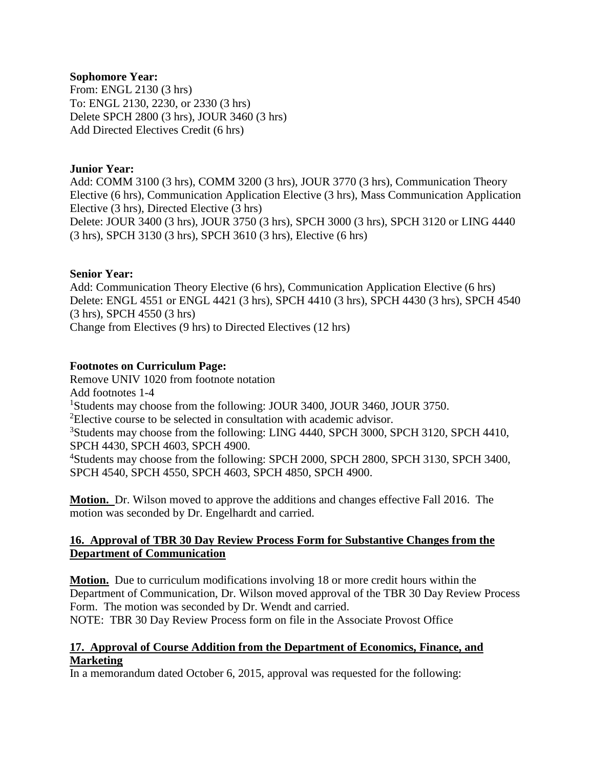### **Sophomore Year:**

From: ENGL 2130 (3 hrs) To: ENGL 2130, 2230, or 2330 (3 hrs) Delete SPCH 2800 (3 hrs), JOUR 3460 (3 hrs) Add Directed Electives Credit (6 hrs)

### **Junior Year:**

Add: COMM 3100 (3 hrs), COMM 3200 (3 hrs), JOUR 3770 (3 hrs), Communication Theory Elective (6 hrs), Communication Application Elective (3 hrs), Mass Communication Application Elective (3 hrs), Directed Elective (3 hrs) Delete: JOUR 3400 (3 hrs), JOUR 3750 (3 hrs), SPCH 3000 (3 hrs), SPCH 3120 or LING 4440 (3 hrs), SPCH 3130 (3 hrs), SPCH 3610 (3 hrs), Elective (6 hrs)

#### **Senior Year:**

Add: Communication Theory Elective (6 hrs), Communication Application Elective (6 hrs) Delete: ENGL 4551 or ENGL 4421 (3 hrs), SPCH 4410 (3 hrs), SPCH 4430 (3 hrs), SPCH 4540 (3 hrs), SPCH 4550 (3 hrs) Change from Electives (9 hrs) to Directed Electives (12 hrs)

### **Footnotes on Curriculum Page:**

Remove UNIV 1020 from footnote notation Add footnotes 1-4 <sup>1</sup>Students may choose from the following: JOUR 3400, JOUR 3460, JOUR 3750. <sup>2</sup>Elective course to be selected in consultation with academic advisor. <sup>3</sup>Students may choose from the following: LING 4440, SPCH 3000, SPCH 3120, SPCH 4410, SPCH 4430, SPCH 4603, SPCH 4900. <sup>4</sup>Students may choose from the following: SPCH 2000, SPCH 2800, SPCH 3130, SPCH 3400, SPCH 4540, SPCH 4550, SPCH 4603, SPCH 4850, SPCH 4900.

**Motion.** Dr. Wilson moved to approve the additions and changes effective Fall 2016. The motion was seconded by Dr. Engelhardt and carried.

### **16. Approval of TBR 30 Day Review Process Form for Substantive Changes from the Department of Communication**

**Motion.** Due to curriculum modifications involving 18 or more credit hours within the Department of Communication, Dr. Wilson moved approval of the TBR 30 Day Review Process Form. The motion was seconded by Dr. Wendt and carried.

NOTE: TBR 30 Day Review Process form on file in the Associate Provost Office

### **17. Approval of Course Addition from the Department of Economics, Finance, and Marketing**

In a memorandum dated October 6, 2015, approval was requested for the following: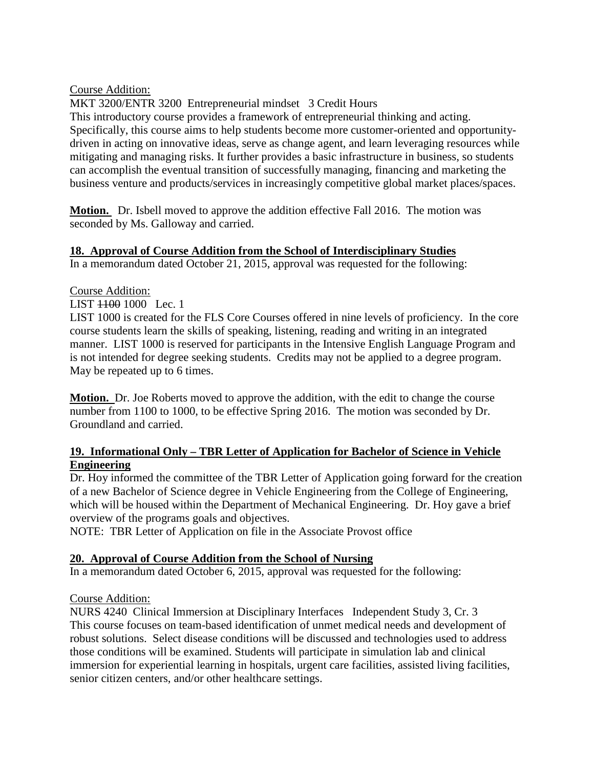Course Addition:

MKT 3200/ENTR 3200 Entrepreneurial mindset 3 Credit Hours This introductory course provides a framework of entrepreneurial thinking and acting. Specifically, this course aims to help students become more customer-oriented and opportunitydriven in acting on innovative ideas, serve as change agent, and learn leveraging resources while mitigating and managing risks. It further provides a basic infrastructure in business, so students can accomplish the eventual transition of successfully managing, financing and marketing the business venture and products/services in increasingly competitive global market places/spaces.

**Motion.** Dr. Isbell moved to approve the addition effective Fall 2016. The motion was seconded by Ms. Galloway and carried.

# **18. Approval of Course Addition from the School of Interdisciplinary Studies**

In a memorandum dated October 21, 2015, approval was requested for the following:

# Course Addition:

LIST 1100 1000 Lec. 1

LIST 1000 is created for the FLS Core Courses offered in nine levels of proficiency. In the core course students learn the skills of speaking, listening, reading and writing in an integrated manner. LIST 1000 is reserved for participants in the Intensive English Language Program and is not intended for degree seeking students. Credits may not be applied to a degree program. May be repeated up to 6 times.

**Motion.** Dr. Joe Roberts moved to approve the addition, with the edit to change the course number from 1100 to 1000, to be effective Spring 2016. The motion was seconded by Dr. Groundland and carried.

# **19. Informational Only – TBR Letter of Application for Bachelor of Science in Vehicle Engineering**

Dr. Hoy informed the committee of the TBR Letter of Application going forward for the creation of a new Bachelor of Science degree in Vehicle Engineering from the College of Engineering, which will be housed within the Department of Mechanical Engineering. Dr. Hoy gave a brief overview of the programs goals and objectives.

NOTE: TBR Letter of Application on file in the Associate Provost office

# **20. Approval of Course Addition from the School of Nursing**

In a memorandum dated October 6, 2015, approval was requested for the following:

# Course Addition:

NURS 4240 Clinical Immersion at Disciplinary Interfaces Independent Study 3, Cr. 3 This course focuses on team-based identification of unmet medical needs and development of robust solutions. Select disease conditions will be discussed and technologies used to address those conditions will be examined. Students will participate in simulation lab and clinical immersion for experiential learning in hospitals, urgent care facilities, assisted living facilities, senior citizen centers, and/or other healthcare settings.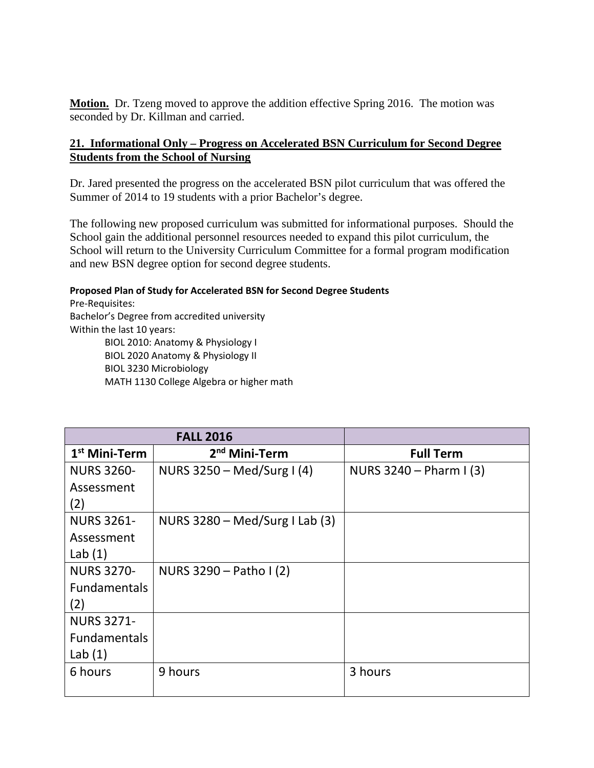**Motion.** Dr. Tzeng moved to approve the addition effective Spring 2016. The motion was seconded by Dr. Killman and carried.

# **21. Informational Only – Progress on Accelerated BSN Curriculum for Second Degree Students from the School of Nursing**

Dr. Jared presented the progress on the accelerated BSN pilot curriculum that was offered the Summer of 2014 to 19 students with a prior Bachelor's degree.

The following new proposed curriculum was submitted for informational purposes. Should the School gain the additional personnel resources needed to expand this pilot curriculum, the School will return to the University Curriculum Committee for a formal program modification and new BSN degree option for second degree students.

#### **Proposed Plan of Study for Accelerated BSN for Second Degree Students**

Pre-Requisites: Bachelor's Degree from accredited university Within the last 10 years: BIOL 2010: Anatomy & Physiology I BIOL 2020 Anatomy & Physiology II BIOL 3230 Microbiology MATH 1130 College Algebra or higher math

|                     | <b>FALL 2016</b>                 |                         |
|---------------------|----------------------------------|-------------------------|
| $1st$ Mini-Term     | 2 <sup>nd</sup> Mini-Term        | <b>Full Term</b>        |
| <b>NURS 3260-</b>   | NURS $3250 - Med/Surg I (4)$     | NURS $3240 - Pharm (3)$ |
| Assessment          |                                  |                         |
| (2)                 |                                  |                         |
| <b>NURS 3261-</b>   | NURS $3280 - Med/Surg I Lab (3)$ |                         |
| Assessment          |                                  |                         |
| Lab $(1)$           |                                  |                         |
| <b>NURS 3270-</b>   | NURS $3290 -$ Patho I (2)        |                         |
| <b>Fundamentals</b> |                                  |                         |
| (2)                 |                                  |                         |
| <b>NURS 3271-</b>   |                                  |                         |
| <b>Fundamentals</b> |                                  |                         |
| Lab $(1)$           |                                  |                         |
| 6 hours             | 9 hours                          | 3 hours                 |
|                     |                                  |                         |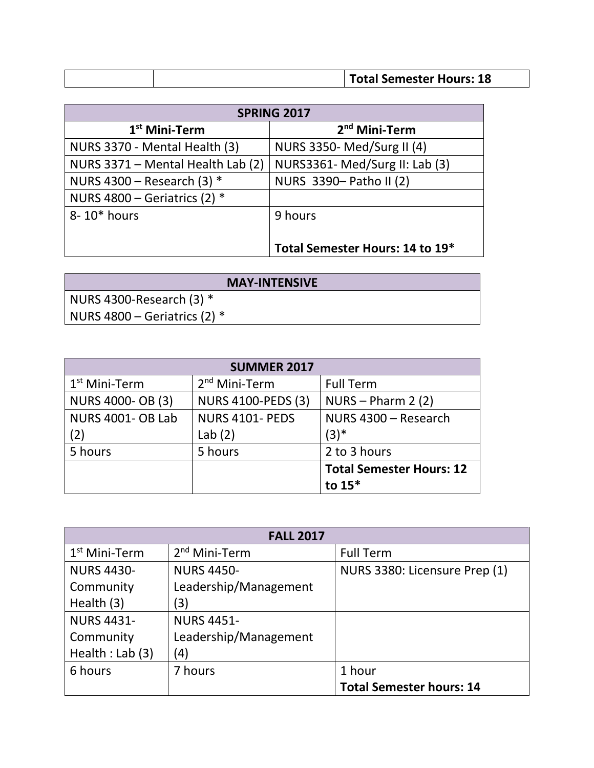| <b>Total Semester Hours: 18</b> |
|---------------------------------|

|                                   | SPRING 2017                     |
|-----------------------------------|---------------------------------|
| $1st$ Mini-Term                   | 2 <sup>nd</sup> Mini-Term       |
| NURS 3370 - Mental Health (3)     | NURS 3350- Med/Surg II (4)      |
| NURS 3371 - Mental Health Lab (2) | NURS3361-Med/Surg II: Lab (3)   |
| NURS 4300 - Research (3) $*$      | NURS 3390- Patho II (2)         |
| NURS $4800$ – Geriatrics (2) $*$  |                                 |
| 8-10* hours                       | 9 hours                         |
|                                   |                                 |
|                                   | Total Semester Hours: 14 to 19* |

| <b>MAY-INTENSIVE</b>             |
|----------------------------------|
| NURS 4300-Research $(3)$ $*$     |
| NURS $4800$ – Geriatrics (2) $*$ |

| <b>SUMMER 2017</b>       |                           |                                 |
|--------------------------|---------------------------|---------------------------------|
| $1st$ Mini-Term          | $2nd$ Mini-Term           | <b>Full Term</b>                |
| <b>NURS 4000- OB (3)</b> | <b>NURS 4100-PEDS (3)</b> | $NURS - Pharm 2 (2)$            |
| <b>NURS 4001- OB Lab</b> | <b>NURS 4101- PEDS</b>    | NURS 4300 - Research            |
| (2)                      | Lab $(2)$                 | $(3)^*$                         |
| 5 hours                  | 5 hours                   | 2 to 3 hours                    |
|                          |                           | <b>Total Semester Hours: 12</b> |
|                          |                           | to $15*$                        |

| <b>FALL 2017</b>  |                       |                                 |  |
|-------------------|-----------------------|---------------------------------|--|
| $1st$ Mini-Term   | $2nd$ Mini-Term       | <b>Full Term</b>                |  |
| <b>NURS 4430-</b> | <b>NURS 4450-</b>     | NURS 3380: Licensure Prep (1)   |  |
| Community         | Leadership/Management |                                 |  |
| Health (3)        | (3)                   |                                 |  |
| <b>NURS 4431-</b> | <b>NURS 4451-</b>     |                                 |  |
| Community         | Leadership/Management |                                 |  |
| Health : Lab (3)  | (4)                   |                                 |  |
| 6 hours           | 7 hours               | 1 hour                          |  |
|                   |                       | <b>Total Semester hours: 14</b> |  |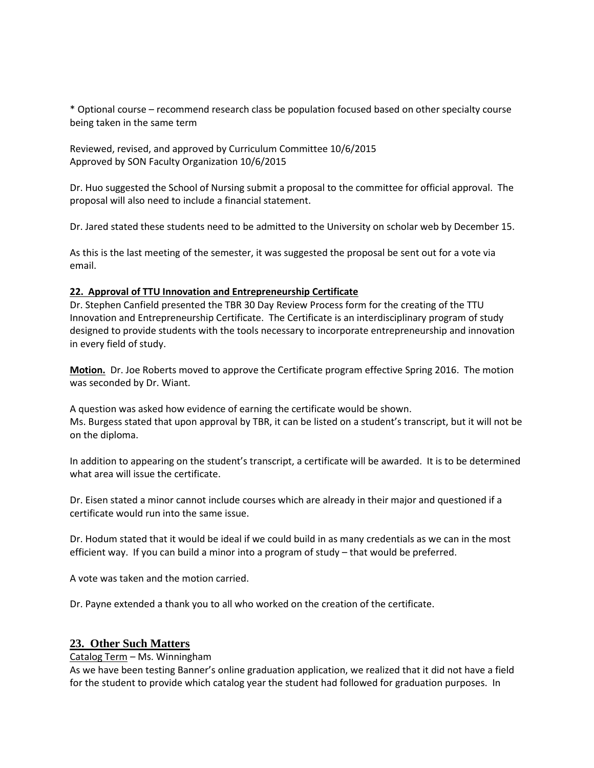\* Optional course – recommend research class be population focused based on other specialty course being taken in the same term

Reviewed, revised, and approved by Curriculum Committee 10/6/2015 Approved by SON Faculty Organization 10/6/2015

Dr. Huo suggested the School of Nursing submit a proposal to the committee for official approval. The proposal will also need to include a financial statement.

Dr. Jared stated these students need to be admitted to the University on scholar web by December 15.

As this is the last meeting of the semester, it was suggested the proposal be sent out for a vote via email.

#### **22. Approval of TTU Innovation and Entrepreneurship Certificate**

Dr. Stephen Canfield presented the TBR 30 Day Review Process form for the creating of the TTU Innovation and Entrepreneurship Certificate. The Certificate is an interdisciplinary program of study designed to provide students with the tools necessary to incorporate entrepreneurship and innovation in every field of study.

**Motion.** Dr. Joe Roberts moved to approve the Certificate program effective Spring 2016. The motion was seconded by Dr. Wiant.

A question was asked how evidence of earning the certificate would be shown. Ms. Burgess stated that upon approval by TBR, it can be listed on a student's transcript, but it will not be on the diploma.

In addition to appearing on the student's transcript, a certificate will be awarded. It is to be determined what area will issue the certificate.

Dr. Eisen stated a minor cannot include courses which are already in their major and questioned if a certificate would run into the same issue.

Dr. Hodum stated that it would be ideal if we could build in as many credentials as we can in the most efficient way. If you can build a minor into a program of study – that would be preferred.

A vote was taken and the motion carried.

Dr. Payne extended a thank you to all who worked on the creation of the certificate.

### **23. Other Such Matters**

#### Catalog Term – Ms. Winningham

As we have been testing Banner's online graduation application, we realized that it did not have a field for the student to provide which catalog year the student had followed for graduation purposes. In